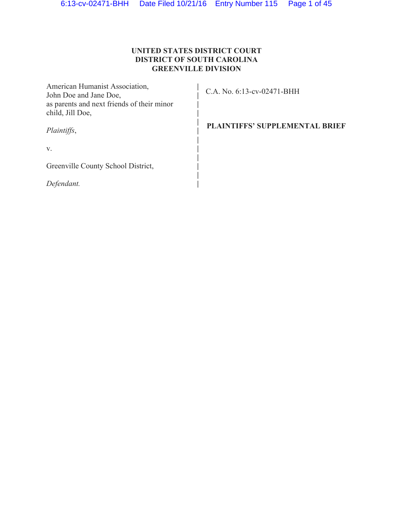## **UNITED STATES DISTRICT COURT DISTRICT OF SOUTH CAROLINA GREENVILLE DIVISION**

| American Humanist Association,<br>John Doe and Jane Doe,<br>as parents and next friends of their minor<br>child, Jill Doe, | C.A. No. 6:13-cv-02471-BHH            |
|----------------------------------------------------------------------------------------------------------------------------|---------------------------------------|
| Plaintiffs,                                                                                                                | <b>PLAINTIFFS' SUPPLEMENTAL BRIEF</b> |
| V.                                                                                                                         |                                       |
| Greenville County School District,                                                                                         |                                       |
| Defendant.                                                                                                                 |                                       |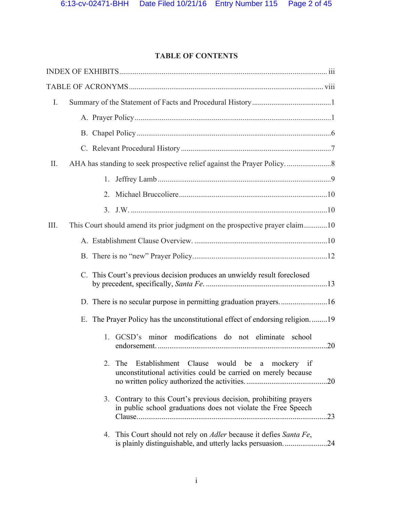# **TABLE OF CONTENTS**

| I.   |                                                                                                                                               |     |
|------|-----------------------------------------------------------------------------------------------------------------------------------------------|-----|
|      |                                                                                                                                               |     |
|      |                                                                                                                                               |     |
|      |                                                                                                                                               |     |
| II.  |                                                                                                                                               |     |
|      | 1.                                                                                                                                            |     |
|      | 2.                                                                                                                                            |     |
|      |                                                                                                                                               |     |
| III. | This Court should amend its prior judgment on the prospective prayer claim10                                                                  |     |
|      |                                                                                                                                               |     |
|      |                                                                                                                                               |     |
|      | C. This Court's previous decision produces an unwieldy result foreclosed                                                                      |     |
|      | D. There is no secular purpose in permitting graduation prayers16                                                                             |     |
|      | E. The Prayer Policy has the unconstitutional effect of endorsing religion19                                                                  |     |
|      | GCSD's minor modifications do not eliminate school<br>1.                                                                                      |     |
|      | 2.<br>Establishment Clause<br>would be a mockery if<br>The<br>unconstitutional activities could be carried on merely because                  |     |
|      | Contrary to this Court's previous decision, prohibiting prayers<br>3.<br>in public school graduations does not violate the Free Speech        | .23 |
|      | 4. This Court should not rely on <i>Adler</i> because it defies <i>Santa Fe</i> ,<br>is plainly distinguishable, and utterly lacks persuasion | .24 |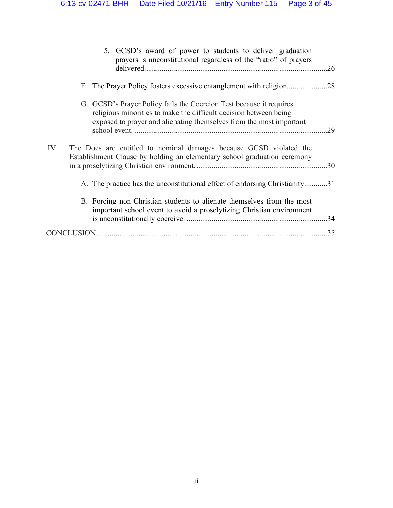| 5. GCSD's award of power to students to deliver graduation<br>prayers is unconstitutional regardless of the "ratio" of prayers                                                                                  | .26 |
|-----------------------------------------------------------------------------------------------------------------------------------------------------------------------------------------------------------------|-----|
|                                                                                                                                                                                                                 | .28 |
| G. GCSD's Prayer Policy fails the Coercion Test because it requires<br>religious minorities to make the difficult decision between being<br>exposed to prayer and alienating themselves from the most important | 29  |
| IV.<br>The Does are entitled to nominal damages because GCSD violated the<br>Establishment Clause by holding an elementary school graduation ceremony                                                           |     |
| A. The practice has the unconstitutional effect of endorsing Christianity31                                                                                                                                     |     |
| B. Forcing non-Christian students to alienate themselves from the most<br>important school event to avoid a proselytizing Christian environment                                                                 | .34 |
|                                                                                                                                                                                                                 | .35 |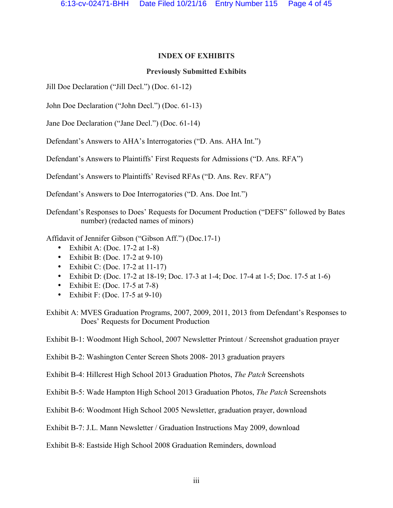### **INDEX OF EXHIBITS**

### **Previously Submitted Exhibits**

Jill Doe Declaration ("Jill Decl.") (Doc. 61-12)

John Doe Declaration ("John Decl.") (Doc. 61-13)

Jane Doe Declaration ("Jane Decl.") (Doc. 61-14)

Defendant's Answers to AHA's Interrogatories ("D. Ans. AHA Int.")

Defendant's Answers to Plaintiffs' First Requests for Admissions ("D. Ans. RFA")

Defendant's Answers to Plaintiffs' Revised RFAs ("D. Ans. Rev. RFA")

Defendant's Answers to Doe Interrogatories ("D. Ans. Doe Int.")

Defendant's Responses to Does' Requests for Document Production ("DEFS" followed by Bates number) (redacted names of minors)

Affidavit of Jennifer Gibson ("Gibson Aff.") (Doc.17-1)

- Exhibit A: (Doc. 17-2 at  $1-8$ )
- Exhibit B: (Doc.  $17-2$  at  $9-10$ )
- Exhibit C: (Doc. 17-2 at  $11-17$ )
- Exhibit D: (Doc. 17-2 at 18-19; Doc. 17-3 at 1-4; Doc. 17-4 at 1-5; Doc. 17-5 at 1-6)
- Exhibit E: (Doc. 17-5 at  $7-8$ )
- Exhibit F: (Doc. 17-5 at  $9-10$ )

Exhibit A: MVES Graduation Programs, 2007, 2009, 2011, 2013 from Defendant's Responses to Does' Requests for Document Production

Exhibit B-1: Woodmont High School, 2007 Newsletter Printout / Screenshot graduation prayer

Exhibit B-2: Washington Center Screen Shots 2008- 2013 graduation prayers

Exhibit B-4: Hillcrest High School 2013 Graduation Photos, *The Patch* Screenshots

Exhibit B-5: Wade Hampton High School 2013 Graduation Photos, *The Patch* Screenshots

Exhibit B-6: Woodmont High School 2005 Newsletter, graduation prayer, download

Exhibit B-7: J.L. Mann Newsletter / Graduation Instructions May 2009, download

Exhibit B-8: Eastside High School 2008 Graduation Reminders, download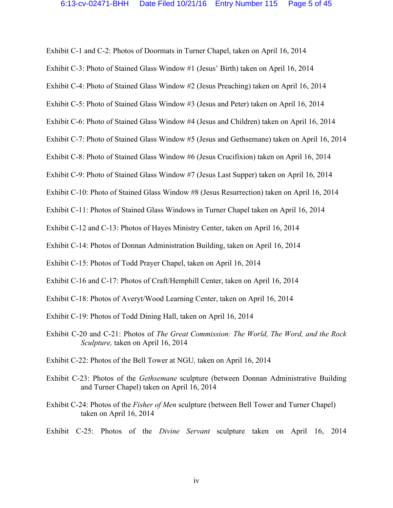Exhibit C-1 and C-2: Photos of Doormats in Turner Chapel, taken on April 16, 2014

Exhibit C-3: Photo of Stained Glass Window #1 (Jesus' Birth) taken on April 16, 2014

Exhibit C-4: Photo of Stained Glass Window #2 (Jesus Preaching) taken on April 16, 2014

Exhibit C-5: Photo of Stained Glass Window #3 (Jesus and Peter) taken on April 16, 2014

Exhibit C-6: Photo of Stained Glass Window #4 (Jesus and Children) taken on April 16, 2014

Exhibit C-7: Photo of Stained Glass Window #5 (Jesus and Gethsemane) taken on April 16, 2014

Exhibit C-8: Photo of Stained Glass Window #6 (Jesus Crucifixion) taken on April 16, 2014

Exhibit C-9: Photo of Stained Glass Window #7 (Jesus Last Supper) taken on April 16, 2014

Exhibit C-10: Photo of Stained Glass Window #8 (Jesus Resurrection) taken on April 16, 2014

Exhibit C-11: Photos of Stained Glass Windows in Turner Chapel taken on April 16, 2014

Exhibit C-12 and C-13: Photos of Hayes Ministry Center, taken on April 16, 2014

Exhibit C-14: Photos of Donnan Administration Building, taken on April 16, 2014

Exhibit C-15: Photos of Todd Prayer Chapel, taken on April 16, 2014

Exhibit C-16 and C-17: Photos of Craft/Hemphill Center, taken on April 16, 2014

Exhibit C-18: Photos of Averyt/Wood Learning Center, taken on April 16, 2014

Exhibit C-19: Photos of Todd Dining Hall, taken on April 16, 2014

Exhibit C-20 and C-21: Photos of *The Great Commission: The World, The Word, and the Rock Sculpture,* taken on April 16, 2014

Exhibit C-22: Photos of the Bell Tower at NGU*,* taken on April 16, 2014

Exhibit C-23: Photos of the *Gethsemane* sculpture (between Donnan Administrative Building and Turner Chapel) taken on April 16, 2014

Exhibit C-24: Photos of the *Fisher of Men* sculpture (between Bell Tower and Turner Chapel) taken on April 16, 2014

Exhibit C-25: Photos of the *Divine Servant* sculpture taken on April 16, 2014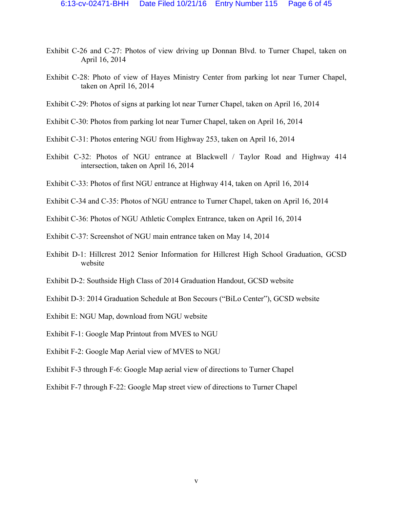- Exhibit C-26 and C-27: Photos of view driving up Donnan Blvd. to Turner Chapel, taken on April 16, 2014
- Exhibit C-28: Photo of view of Hayes Ministry Center from parking lot near Turner Chapel, taken on April 16, 2014
- Exhibit C-29: Photos of signs at parking lot near Turner Chapel, taken on April 16, 2014
- Exhibit C-30: Photos from parking lot near Turner Chapel, taken on April 16, 2014
- Exhibit C-31: Photos entering NGU from Highway 253, taken on April 16, 2014
- Exhibit C-32: Photos of NGU entrance at Blackwell / Taylor Road and Highway 414 intersection, taken on April 16, 2014
- Exhibit C-33: Photos of first NGU entrance at Highway 414, taken on April 16, 2014
- Exhibit C-34 and C-35: Photos of NGU entrance to Turner Chapel, taken on April 16, 2014
- Exhibit C-36: Photos of NGU Athletic Complex Entrance, taken on April 16, 2014
- Exhibit C-37: Screenshot of NGU main entrance taken on May 14, 2014
- Exhibit D-1: Hillcrest 2012 Senior Information for Hillcrest High School Graduation, GCSD website
- Exhibit D-2: Southside High Class of 2014 Graduation Handout, GCSD website
- Exhibit D-3: 2014 Graduation Schedule at Bon Secours ("BiLo Center"), GCSD website
- Exhibit E: NGU Map, download from NGU website
- Exhibit F-1: Google Map Printout from MVES to NGU
- Exhibit F-2: Google Map Aerial view of MVES to NGU
- Exhibit F-3 through F-6: Google Map aerial view of directions to Turner Chapel
- Exhibit F-7 through F-22: Google Map street view of directions to Turner Chapel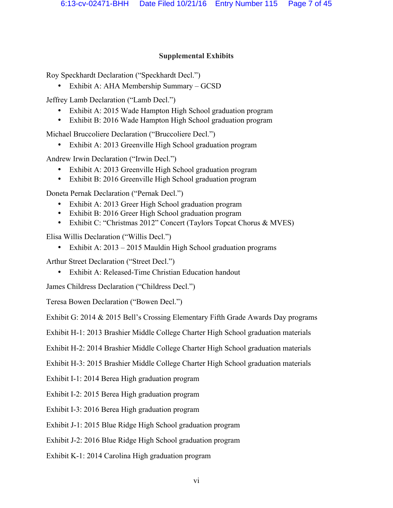## **Supplemental Exhibits**

Roy Speckhardt Declaration ("Speckhardt Decl.")

• Exhibit A: AHA Membership Summary – GCSD

Jeffrey Lamb Declaration ("Lamb Decl.")

- Exhibit A: 2015 Wade Hampton High School graduation program
- Exhibit B: 2016 Wade Hampton High School graduation program

Michael Bruccoliere Declaration ("Bruccoliere Decl.")

• Exhibit A: 2013 Greenville High School graduation program

Andrew Irwin Declaration ("Irwin Decl.")

- Exhibit A: 2013 Greenville High School graduation program
- Exhibit B: 2016 Greenville High School graduation program

Doneta Pernak Declaration ("Pernak Decl.")

- Exhibit A: 2013 Greer High School graduation program
- Exhibit B: 2016 Greer High School graduation program
- Exhibit C: "Christmas 2012" Concert (Taylors Topcat Chorus & MVES)

Elisa Willis Declaration ("Willis Decl.")

• Exhibit A: 2013 – 2015 Mauldin High School graduation programs

Arthur Street Declaration ("Street Decl.")

• Exhibit A: Released-Time Christian Education handout

James Childress Declaration ("Childress Decl.")

Teresa Bowen Declaration ("Bowen Decl.")

Exhibit G: 2014 & 2015 Bell's Crossing Elementary Fifth Grade Awards Day programs

Exhibit H-1: 2013 Brashier Middle College Charter High School graduation materials

Exhibit H-2: 2014 Brashier Middle College Charter High School graduation materials

Exhibit H-3: 2015 Brashier Middle College Charter High School graduation materials

Exhibit I-1: 2014 Berea High graduation program

Exhibit I-2: 2015 Berea High graduation program

Exhibit I-3: 2016 Berea High graduation program

Exhibit J-1: 2015 Blue Ridge High School graduation program

Exhibit J-2: 2016 Blue Ridge High School graduation program

Exhibit K-1: 2014 Carolina High graduation program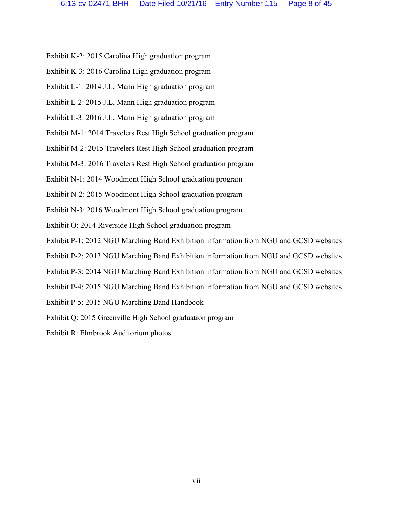- Exhibit K-2: 2015 Carolina High graduation program
- Exhibit K-3: 2016 Carolina High graduation program
- Exhibit L-1: 2014 J.L. Mann High graduation program
- Exhibit L-2: 2015 J.L. Mann High graduation program
- Exhibit L-3: 2016 J.L. Mann High graduation program
- Exhibit M-1: 2014 Travelers Rest High School graduation program
- Exhibit M-2: 2015 Travelers Rest High School graduation program
- Exhibit M-3: 2016 Travelers Rest High School graduation program
- Exhibit N-1: 2014 Woodmont High School graduation program
- Exhibit N-2: 2015 Woodmont High School graduation program
- Exhibit N-3: 2016 Woodmont High School graduation program
- Exhibit O: 2014 Riverside High School graduation program
- Exhibit P-1: 2012 NGU Marching Band Exhibition information from NGU and GCSD websites
- Exhibit P-2: 2013 NGU Marching Band Exhibition information from NGU and GCSD websites
- Exhibit P-3: 2014 NGU Marching Band Exhibition information from NGU and GCSD websites
- Exhibit P-4: 2015 NGU Marching Band Exhibition information from NGU and GCSD websites
- Exhibit P-5: 2015 NGU Marching Band Handbook
- Exhibit Q: 2015 Greenville High School graduation program
- Exhibit R: Elmbrook Auditorium photos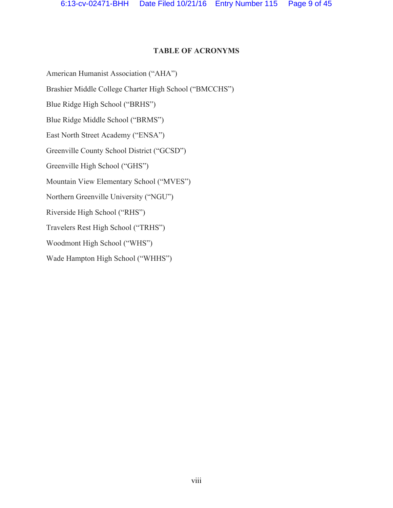#### **TABLE OF ACRONYMS**

American Humanist Association ("AHA")

Brashier Middle College Charter High School ("BMCCHS")

Blue Ridge High School ("BRHS")

Blue Ridge Middle School ("BRMS")

East North Street Academy ("ENSA")

Greenville County School District ("GCSD")

Greenville High School ("GHS")

Mountain View Elementary School ("MVES")

Northern Greenville University ("NGU")

Riverside High School ("RHS")

Travelers Rest High School ("TRHS")

Woodmont High School ("WHS")

Wade Hampton High School ("WHHS")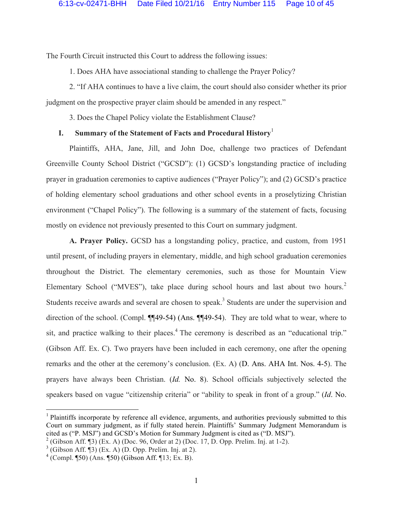The Fourth Circuit instructed this Court to address the following issues:

1. Does AHA have associational standing to challenge the Prayer Policy?

2. "If AHA continues to have a live claim, the court should also consider whether its prior judgment on the prospective prayer claim should be amended in any respect."

3. Does the Chapel Policy violate the Establishment Clause?

## **I. Summary of the Statement of Facts and Procedural History** 1

Plaintiffs, AHA, Jane, Jill, and John Doe, challenge two practices of Defendant Greenville County School District ("GCSD"): (1) GCSD's longstanding practice of including prayer in graduation ceremonies to captive audiences ("Prayer Policy"); and (2) GCSD's practice of holding elementary school graduations and other school events in a proselytizing Christian environment ("Chapel Policy"). The following is a summary of the statement of facts, focusing mostly on evidence not previously presented to this Court on summary judgment.

**A. Prayer Policy.** GCSD has a longstanding policy, practice, and custom, from 1951 until present, of including prayers in elementary, middle, and high school graduation ceremonies throughout the District. The elementary ceremonies, such as those for Mountain View Elementary School ("MVES"), take place during school hours and last about two hours.<sup>2</sup> Students receive awards and several are chosen to speak.<sup>3</sup> Students are under the supervision and direction of the school. (Compl. ¶¶49-54) (Ans. ¶¶49-54). They are told what to wear, where to sit, and practice walking to their places.<sup>4</sup> The ceremony is described as an "educational trip." (Gibson Aff. Ex. C). Two prayers have been included in each ceremony, one after the opening remarks and the other at the ceremony's conclusion. (Ex. A) (D. Ans. AHA Int. Nos. 4-5). The prayers have always been Christian. (*Id.* No. 8). School officials subjectively selected the speakers based on vague "citizenship criteria" or "ability to speak in front of a group." (*Id*. No.

 $1$  Plaintiffs incorporate by reference all evidence, arguments, and authorities previously submitted to this Court on summary judgment, as if fully stated herein. Plaintiffs' Summary Judgment Memorandum is cited as ("P. MSJ") and GCSD's Motion for Summary Judgment is cited as ("D. MSJ").

<sup>2</sup> (Gibson Aff. ¶3) (Ex. A) (Doc. 96, Order at 2) (Doc. 17, D. Opp. Prelim. Inj. at 1-2).

 $3$  (Gibson Aff. ¶3) (Ex. A) (D. Opp. Prelim. Inj. at 2).

 $^{4}$  (Compl. ¶50) (Ans. ¶50) (Gibson Aff. ¶13; Ex. B).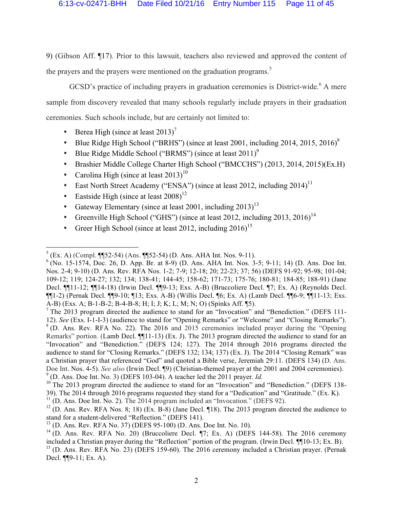9) (Gibson Aff. ¶17). Prior to this lawsuit, teachers also reviewed and approved the content of the prayers and the prayers were mentioned on the graduation programs.<sup>5</sup>

GCSD's practice of including prayers in graduation ceremonies is District-wide.<sup>6</sup> A mere sample from discovery revealed that many schools regularly include prayers in their graduation ceremonies. Such schools include, but are certainly not limited to:

- Berea High (since at least  $2013$ )<sup>7</sup>
- Blue Ridge High School ("BRHS") (since at least 2001, including 2014, 2015, 2016) $8$
- Blue Ridge Middle School ("BRMS") (since at least  $2011$ )<sup>9</sup>
- Brashier Middle College Charter High School ("BMCCHS") (2013, 2014, 2015)(Ex.H)
- Carolina High (since at least  $2013$ )<sup>10</sup>
- East North Street Academy ("ENSA") (since at least 2012, including  $2014$ )<sup>11</sup>
- Eastside High (since at least  $2008$ )<sup>12</sup>
- Gateway Elementary (since at least 2001, including  $2013$ )<sup>13</sup>
- Greenville High School ("GHS") (since at least 2012, including 2013, 2016)<sup>14</sup>
- Greer High School (since at least 2012, including  $2016$ )<sup>15</sup>

 $5$  (Ex. A) (Compl. ¶[52-54) (Ans. ¶[52-54) (D. Ans. AHA Int. Nos. 9-11).

 $6$  (No. 15-1574, Doc. 26, D. App. Br. at 8-9) (D. Ans. AHA Int. Nos. 3-5; 9-11; 14) (D. Ans. Doe Int. Nos. 2-4; 9-10) (D. Ans. Rev. RFA Nos. 1-2; 7-9; 12-18; 20; 22-23; 37; 56) (DEFS 91-92; 95-98; 101-04; 109-12; 119; 124-27; 132; 134; 138-41; 144-45; 158-62; 171-73; 175-76; 180-81; 184-85; 188-91) (Jane Decl. ¶¶11-12; ¶¶14-18) (Irwin Decl. ¶¶9-13; Exs. A-B) (Bruccoliere Decl. ¶7; Ex. A) (Reynolds Decl. ¶¶1-2) (Pernak Decl. ¶¶9-10; ¶13; Exs. A-B) (Willis Decl. ¶6; Ex. A) (Lamb Decl. ¶¶6-9; ¶¶11-13; Exs. A-B) (Exs. A; B-1-B-2; B-4-B-8; H; I; J; K; L; M; N; O) (Spinks Aff. ¶5).

<sup>&</sup>lt;sup>7</sup> The 2013 program directed the audience to stand for an "Invocation" and "Benediction." (DEFS 111-12). *See* (Exs. I-1-I-3) (audience to stand for "Opening Remarks" or "Welcome" and "Closing Remarks"). <sup>8</sup> (D. Ans. Rev. RFA No. 22). The 2016 and 2015 ceremonies included prayer during the "Opening" Remarks" portion. (Lamb Decl. ¶¶11-13) (Ex. J). The 2013 program directed the audience to stand for an "Invocation" and "Benediction." (DEFS 124; 127). The 2014 through 2016 programs directed the audience to stand for "Closing Remarks." (DEFS 132; 134; 137) (Ex. J). The 2014 "Closing Remark" was a Christian prayer that referenced "God" and quoted a Bible verse, Jeremiah 29:11. (DEFS 134) (D. Ans. Doe Int. Nos. 4-5). *See also* (Irwin Decl. ¶9) (Christian-themed prayer at the 2001 and 2004 ceremonies). <sup>9</sup> (D. Ans. Doe Int. No. 3) (DEFS 103-04). A teacher led the 2011 prayer. *Id.* 

<sup>&</sup>lt;sup>10</sup> The 2013 program directed the audience to stand for an "Invocation" and "Benediction." (DEFS 138-39). The 2014 through 2016 programs requested they stand for a "Dedication" and "Gratitude." (Ex. K).  $11$  (D. Ans. Doe Int. No. 2). The 2014 program included an "Invocation." (DEFS 92).

 $12$  (D. Ans. Rev. RFA Nos. 8; 18) (Ex. B-8) (Jane Decl. 18). The 2013 program directed the audience to stand for a student-delivered "Reflection." (DEFS 141).

 $^{13}$  (D. Ans. Rev. RFA No. 37) (DEFS 95-100) (D. Ans. Doe Int. No. 10).

<sup>&</sup>lt;sup>14</sup> (D. Ans. Rev. RFA No. 20) (Bruccoliere Decl. ¶7; Ex. A) (DEFS 144-58). The 2016 ceremony included a Christian prayer during the "Reflection" portion of the program. (Irwin Decl. ¶¶10-13; Ex. B).  $^{15}$  (D. Ans. Rev. RFA No. 23) (DEFS 159-60). The 2016 ceremony included a Christian prayer. (Pernak Decl. ¶¶9-11; Ex. A).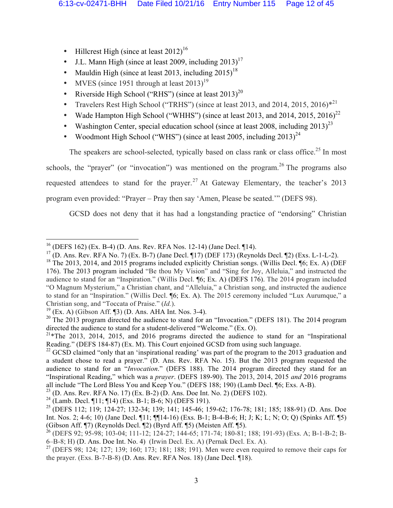- Hillcrest High (since at least  $2012$ )<sup>16</sup>
- J.L. Mann High (since at least 2009, including  $2013$ )<sup>17</sup>
- Mauldin High (since at least 2013, including  $2015$ )<sup>18</sup>
- MVES (since 1951 through at least  $2013$ )<sup>19</sup>
- Riverside High School ("RHS") (since at least  $2013$ )<sup>20</sup>
- Travelers Rest High School ("TRHS") (since at least 2013, and 2014, 2015, 2016) $*^{21}$
- Wade Hampton High School ("WHHS") (since at least 2013, and 2014, 2015, 2016)<sup>22</sup>
- Washington Center, special education school (since at least 2008, including  $2013)^{23}$
- Woodmont High School ("WHS") (since at least 2005, including  $2013$ )<sup>24</sup>

The speakers are school-selected, typically based on class rank or class office.<sup>25</sup> In most schools, the "prayer" (or "invocation") was mentioned on the program.<sup>26</sup> The programs also requested attendees to stand for the prayer.<sup>27</sup> At Gateway Elementary, the teacher's 2013 program even provided: "Prayer – Pray then say 'Amen, Please be seated.'" (DEFS 98).

GCSD does not deny that it has had a longstanding practice of "endorsing" Christian

 $^{16}$  (DEFS 162) (Ex. B-4) (D. Ans. Rev. RFA Nos. 12-14) (Jane Decl. 14).

<sup>&</sup>lt;sup>17</sup> (D. Ans. Rev. RFA No. 7) (Ex. B-7) (Jane Decl. ¶17) (DEF 173) (Reynolds Decl. ¶2) (Exs. L-1-L-2).

 $18$  The 2013, 2014, and 2015 programs included explicitly Christian songs. (Willis Decl. [6; Ex. A) (DEF 176). The 2013 program included "Be thou My Vision" and "Sing for Joy, Alleluia," and instructed the audience to stand for an "Inspiration." (Willis Decl. ¶6; Ex. A) (DEFS 176). The 2014 program included "O Magnum Mysterium," a Christian chant, and "Alleluia," a Christian song, and instructed the audience to stand for an "Inspiration." (Willis Decl. ¶6; Ex. A). The 2015 ceremony included "Lux Aurumque," a Christian song, and "Toccata of Praise." (*Id.*).

 $19$  (Ex. A) (Gibson Aff. [3] (D. Ans. AHA Int. Nos. 3-4).

 $20$  The 2013 program directed the audience to stand for an "Invocation." (DEFS 181). The 2014 program directed the audience to stand for a student-delivered "Welcome." (Ex. O).

 $^{21}$ \*The 2013, 2014, 2015, and 2016 programs directed the audience to stand for an "Inspirational" Reading." (DEFS 184-87) (Ex. M). This Court enjoined GCSD from using such language.

 $^{22}$  GCSD claimed "only that an 'inspirational reading' was part of the program to the 2013 graduation and a student chose to read a prayer." (D. Ans. Rev. RFA No. 15). But the 2013 program requested the audience to stand for an "*Invocation*." (DEFS 188). The 2014 program directed they stand for an "Inspirational Reading," which was a *prayer*. (DEFS 189-90). The 2013, 2014, 2015 *and* 2016 programs all include "The Lord Bless You and Keep You." (DEFS 188; 190) (Lamb Decl. ¶6; Exs. A-B).

<sup>&</sup>lt;sup>23</sup> (D. Ans. Rev. RFA No. 17) (Ex. B-2) (D. Ans. Doe Int. No. 2) (DEFS 102).

<sup>&</sup>lt;sup>24</sup> (Lamb. Decl. ¶11; ¶14) (Exs. B-1; B-6; N) (DEFS 191).

<sup>&</sup>lt;sup>25</sup> (DEFS 112; 119; 124-27; 132-34; 139; 141; 145-46; 159-62; 176-78; 181; 185; 188-91) (D. Ans. Doe Int. Nos. 2; 4-6; 10) (Jane Decl. ¶11; ¶¶14-16) (Exs. B-1; B-4-B-6; H; J; K; L; N; O; Q) (Spinks Aff. ¶5) (Gibson Aff. ¶7) (Reynolds Decl. ¶2) (Byrd Aff. ¶5) (Meisten Aff. ¶5).

 $^{26}$  (DEFS 92; 95-98; 103-04; 111-12; 124-27; 144-65; 171-74; 180-81; 188; 191-93) (Exs. A; B-1-B-2; B-6–B-8; H) (D. Ans. Doe Int. No. 4) (Irwin Decl. Ex. A) (Pernak Decl. Ex. A).

<sup>&</sup>lt;sup>27</sup> (DEFS 98; 124; 127; 139; 160; 173; 181; 188; 191). Men were even required to remove their caps for the prayer. (Exs. B-7-B-8) (D. Ans. Rev. RFA Nos. 18) (Jane Decl. ¶18).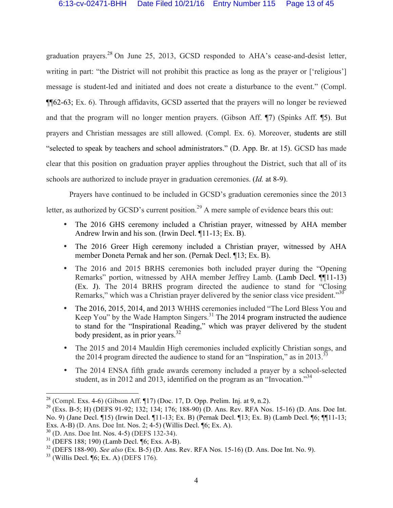graduation prayers.<sup>28</sup> On June 25, 2013, GCSD responded to AHA's cease-and-desist letter, writing in part: "the District will not prohibit this practice as long as the prayer or ['religious'] message is student-led and initiated and does not create a disturbance to the event." (Compl. ¶¶62-63; Ex. 6). Through affidavits, GCSD asserted that the prayers will no longer be reviewed and that the program will no longer mention prayers. (Gibson Aff. ¶7) (Spinks Aff. ¶5). But prayers and Christian messages are still allowed. (Compl. Ex. 6). Moreover, students are still "selected to speak by teachers and school administrators." (D. App. Br. at 15). GCSD has made clear that this position on graduation prayer applies throughout the District, such that all of its schools are authorized to include prayer in graduation ceremonies. (*Id.* at 8-9).

Prayers have continued to be included in GCSD's graduation ceremonies since the 2013

letter, as authorized by GCSD's current position.<sup>29</sup> A mere sample of evidence bears this out:

- The 2016 GHS ceremony included a Christian prayer, witnessed by AHA member Andrew Irwin and his son. (Irwin Decl. ¶11-13; Ex. B).
- The 2016 Greer High ceremony included a Christian prayer, witnessed by AHA member Doneta Pernak and her son. (Pernak Decl. ¶13; Ex. B).
- The 2016 and 2015 BRHS ceremonies both included prayer during the "Opening" Remarks" portion, witnessed by AHA member Jeffrey Lamb. (Lamb Decl. ¶¶11-13) (Ex. J). The 2014 BRHS program directed the audience to stand for "Closing Remarks," which was a Christian prayer delivered by the senior class vice president."<sup>30</sup>
- The 2016, 2015, 2014, and 2013 WHHS ceremonies included "The Lord Bless You and Keep You" by the Wade Hampton Singers.<sup>31</sup> The 2014 program instructed the audience to stand for the "Inspirational Reading," which was prayer delivered by the student body president, as in prior years.<sup>32</sup>
- The 2015 and 2014 Mauldin High ceremonies included explicitly Christian songs, and the 2014 program directed the audience to stand for an "Inspiration," as in 2013.<sup>33</sup>
- The 2014 ENSA fifth grade awards ceremony included a prayer by a school-selected student, as in 2012 and 2013, identified on the program as an "Invocation."<sup>34</sup>

<sup>&</sup>lt;sup>28</sup> (Compl. Exs. 4-6) (Gibson Aff. ¶17) (Doc. 17, D. Opp. Prelim. Inj. at 9, n.2).

<sup>&</sup>lt;sup>29</sup> (Exs. B-5; H) (DEFS 91-92; 132; 134; 176; 188-90) (D. Ans. Rev. RFA Nos. 15-16) (D. Ans. Doe Int. No. 9) (Jane Decl. ¶15) (Irwin Decl. ¶11-13; Ex. B) (Pernak Decl. ¶13; Ex. B) (Lamb Decl. ¶6; ¶¶11-13; Exs. A-B) (D. Ans. Doe Int. Nos. 2; 4-5) (Willis Decl. ¶6; Ex. A).

 $30$  (D. Ans. Doe Int. Nos. 4-5) (DEFS 132-34).

 $31$  (DEFS 188; 190) (Lamb Decl. [6; Exs. A-B).

<sup>32</sup> (DEFS 188-90). *See also* (Ex. B-5) (D. Ans. Rev. RFA Nos. 15-16) (D. Ans. Doe Int. No. 9).

 $33$  (Willis Decl. ¶6; Ex. A) (DEFS 176).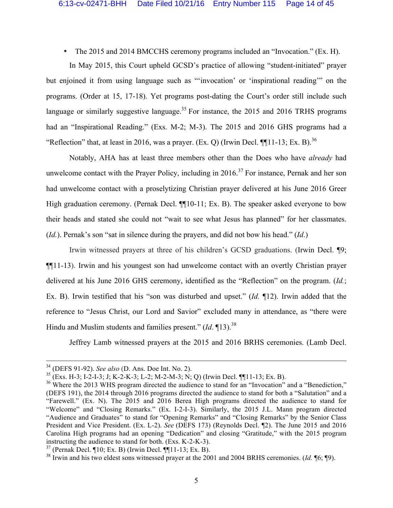• The 2015 and 2014 BMCCHS ceremony programs included an "Invocation." (Ex. H).

In May 2015, this Court upheld GCSD's practice of allowing "student-initiated" prayer but enjoined it from using language such as "'invocation' or 'inspirational reading'" on the programs. (Order at 15, 17-18). Yet programs post-dating the Court's order still include such language or similarly suggestive language.<sup>35</sup> For instance, the 2015 and 2016 TRHS programs had an "Inspirational Reading." (Exs. M-2; M-3). The 2015 and 2016 GHS programs had a "Reflection" that, at least in 2016, was a prayer. (Ex. O) (Irwin Decl.  $\P\P11-13$ ; Ex. B).<sup>36</sup>

Notably, AHA has at least three members other than the Does who have *already* had unwelcome contact with the Prayer Policy, including in  $2016$ <sup>37</sup> For instance, Pernak and her son had unwelcome contact with a proselytizing Christian prayer delivered at his June 2016 Greer High graduation ceremony. (Pernak Decl. ¶[10-11; Ex. B). The speaker asked everyone to bow their heads and stated she could not "wait to see what Jesus has planned" for her classmates. (*Id.*). Pernak's son "sat in silence during the prayers, and did not bow his head." (*Id*.)

Irwin witnessed prayers at three of his children's GCSD graduations. (Irwin Decl. ¶9; ¶¶11-13). Irwin and his youngest son had unwelcome contact with an overtly Christian prayer delivered at his June 2016 GHS ceremony, identified as the "Reflection" on the program. (*Id.*; Ex. B). Irwin testified that his "son was disturbed and upset." (*Id.* ¶12). Irwin added that the reference to "Jesus Christ, our Lord and Savior" excluded many in attendance, as "there were Hindu and Muslim students and families present." (*Id*. 13).<sup>38</sup>

Jeffrey Lamb witnessed prayers at the 2015 and 2016 BRHS ceremonies. (Lamb Decl.

<sup>&</sup>lt;sup>34</sup> (DEFS 91-92). *See also* (D. Ans. Doe Int. No. 2).<br><sup>35</sup> (Exs. H-3; I-2-I-3; J; K-2-K-3; L-2; M-2-M-3; N; Q) (Irwin Decl. ¶¶11-13; Ex. B).

 $36$  Where the 2013 WHS program directed the audience to stand for an "Invocation" and a "Benediction," (DEFS 191), the 2014 through 2016 programs directed the audience to stand for both a "Salutation" and a "Farewell." (Ex. N). The 2015 and 2016 Berea High programs directed the audience to stand for "Welcome" and "Closing Remarks." (Ex. I-2-I-3). Similarly, the 2015 J.L. Mann program directed "Audience and Graduates" to stand for "Opening Remarks" and "Closing Remarks" by the Senior Class President and Vice President. (Ex. L-2). *See* (DEFS 173) (Reynolds Decl. ¶2). The June 2015 and 2016 Carolina High programs had an opening "Dedication" and closing "Gratitude," with the 2015 program instructing the audience to stand for both. (Exs. K-2-K-3).

 $37$  (Pernak Decl. ¶10; Ex. B) (Irwin Decl. ¶[11-13; Ex. B).

<sup>&</sup>lt;sup>38</sup> Irwin and his two eldest sons witnessed prayer at the 2001 and 2004 BRHS ceremonies. (*Id.* ¶6; ¶9).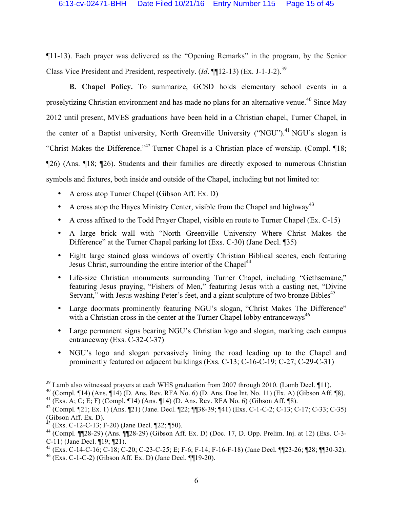¶11-13). Each prayer was delivered as the "Opening Remarks" in the program, by the Senior Class Vice President and President, respectively. (*Id*. ¶¶12-13) (Ex. J-1-J-2).39

**B. Chapel Policy.** To summarize, GCSD holds elementary school events in a proselytizing Christian environment and has made no plans for an alternative venue.<sup>40</sup> Since May 2012 until present, MVES graduations have been held in a Christian chapel, Turner Chapel, in the center of a Baptist university, North Greenville University ("NGU").<sup>41</sup> NGU's slogan is "Christ Makes the Difference."42 Turner Chapel is a Christian place of worship. (Compl. ¶18; ¶26) (Ans. ¶18; ¶26). Students and their families are directly exposed to numerous Christian symbols and fixtures, both inside and outside of the Chapel, including but not limited to:

- A cross atop Turner Chapel (Gibson Aff. Ex. D)
- A cross atop the Hayes Ministry Center, visible from the Chapel and highway<sup>43</sup>
- A cross affixed to the Todd Prayer Chapel, visible en route to Turner Chapel (Ex. C-15)
- A large brick wall with "North Greenville University Where Christ Makes the Difference" at the Turner Chapel parking lot (Exs. C-30) (Jane Decl. ¶35)
- Eight large stained glass windows of overtly Christian Biblical scenes, each featuring Jesus Christ, surrounding the entire interior of the Chapel<sup>44</sup>
- Life-size Christian monuments surrounding Turner Chapel, including "Gethsemane," featuring Jesus praying, "Fishers of Men," featuring Jesus with a casting net, "Divine Servant," with Jesus washing Peter's feet, and a giant sculpture of two bronze Bibles<sup>45</sup>
- Large doormats prominently featuring NGU's slogan, "Christ Makes The Difference" with a Christian cross in the center at the Turner Chapel lobby entranceways<sup>46</sup>
- Large permanent signs bearing NGU's Christian logo and slogan, marking each campus entranceway (Exs. C-32-C-37)
- NGU's logo and slogan pervasively lining the road leading up to the Chapel and prominently featured on adjacent buildings (Exs. C-13; C-16-C-19; C-27; C-29-C-31)

 $39$  Lamb also witnessed prayers at each WHS graduation from 2007 through 2010. (Lamb Decl. 11).

 $^{40}$  (Compl. ¶14) (Ans. ¶14) (D. Ans. Rev. RFA No. 6) (D. Ans. Doe Int. No. 11) (Ex. A) (Gibson Aff. ¶8).

<sup>&</sup>lt;sup>41</sup> (Exs. A; C; E; F) (Compl.  $\P$ 14) (Ans.  $\P$ 14) (D. Ans. Rev. RFA No. 6) (Gibson Aff.  $\P$ 8).

<sup>&</sup>lt;sup>42</sup> (Compl. ¶21; Ex. 1) (Ans. ¶21) (Jane. Decl. ¶22; ¶¶38-39; ¶41) (Exs. C-1-C-2; C-13; C-17; C-33; C-35)  $\operatorname*{Gibson}$  Aff. Ex. D).

 $(Exs. C-12-C-13; F-20)$  (Jane Decl. ¶22; ¶50).

<sup>44</sup> (Compl. ¶¶28-29) (Ans. ¶¶28-29) (Gibson Aff. Ex. D) (Doc. 17, D. Opp. Prelim. Inj. at 12) (Exs. C-3- C-11) (Jane Decl. ¶19; ¶21).

<sup>&</sup>lt;sup>45</sup> (Exs. C-14-C-16; C-18; C-20; C-23-C-25; E; F-6; F-14; F-16-F-18) (Jane Decl. ¶[23-26; ¶28; ¶[30-32).

 $^{46}$  (Exs. C-1-C-2) (Gibson Aff. Ex. D) (Jane Decl. [[19-20).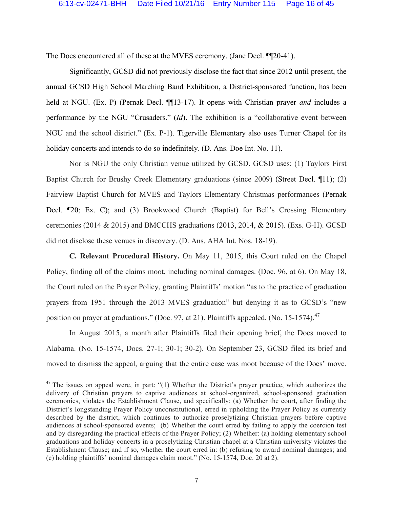The Does encountered all of these at the MVES ceremony. (Jane Decl. ¶¶20-41).

Significantly, GCSD did not previously disclose the fact that since 2012 until present, the annual GCSD High School Marching Band Exhibition, a District-sponsored function, has been held at NGU. (Ex. P) (Pernak Decl. ¶¶13-17). It opens with Christian prayer *and* includes a performance by the NGU "Crusaders." (*Id*). The exhibition is a "collaborative event between NGU and the school district." (Ex. P-1). Tigerville Elementary also uses Turner Chapel for its holiday concerts and intends to do so indefinitely. (D. Ans. Doe Int. No. 11).

Nor is NGU the only Christian venue utilized by GCSD. GCSD uses: (1) Taylors First Baptist Church for Brushy Creek Elementary graduations (since 2009) (Street Decl. ¶11); (2) Fairview Baptist Church for MVES and Taylors Elementary Christmas performances (Pernak Decl. ¶20; Ex. C); and (3) Brookwood Church (Baptist) for Bell's Crossing Elementary ceremonies (2014 & 2015) and BMCCHS graduations (2013, 2014, & 2015). (Exs. G-H). GCSD did not disclose these venues in discovery. (D. Ans. AHA Int. Nos. 18-19).

**C. Relevant Procedural History.** On May 11, 2015, this Court ruled on the Chapel Policy, finding all of the claims moot, including nominal damages. (Doc. 96, at 6). On May 18, the Court ruled on the Prayer Policy, granting Plaintiffs' motion "as to the practice of graduation prayers from 1951 through the 2013 MVES graduation" but denying it as to GCSD's "new position on prayer at graduations." (Doc. 97, at 21). Plaintiffs appealed. (No. 15-1574).<sup>47</sup>

In August 2015, a month after Plaintiffs filed their opening brief, the Does moved to Alabama. (No. 15-1574, Docs. 27-1; 30-1; 30-2). On September 23, GCSD filed its brief and moved to dismiss the appeal, arguing that the entire case was moot because of the Does' move.

 $47$  The issues on appeal were, in part: "(1) Whether the District's prayer practice, which authorizes the delivery of Christian prayers to captive audiences at school-organized, school-sponsored graduation ceremonies, violates the Establishment Clause, and specifically: (a) Whether the court, after finding the District's longstanding Prayer Policy unconstitutional, erred in upholding the Prayer Policy as currently described by the district, which continues to authorize proselytizing Christian prayers before captive audiences at school-sponsored events; (b) Whether the court erred by failing to apply the coercion test and by disregarding the practical effects of the Prayer Policy; (2) Whether: (a) holding elementary school graduations and holiday concerts in a proselytizing Christian chapel at a Christian university violates the Establishment Clause; and if so, whether the court erred in: (b) refusing to award nominal damages; and (c) holding plaintiffs' nominal damages claim moot." (No. 15-1574, Doc. 20 at 2).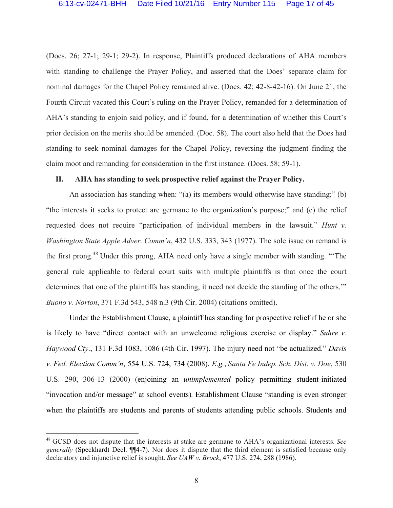(Docs. 26; 27-1; 29-1; 29-2). In response, Plaintiffs produced declarations of AHA members with standing to challenge the Prayer Policy, and asserted that the Does' separate claim for nominal damages for the Chapel Policy remained alive. (Docs. 42; 42-8-42-16). On June 21, the Fourth Circuit vacated this Court's ruling on the Prayer Policy, remanded for a determination of AHA's standing to enjoin said policy, and if found, for a determination of whether this Court's prior decision on the merits should be amended. (Doc. 58). The court also held that the Does had standing to seek nominal damages for the Chapel Policy, reversing the judgment finding the claim moot and remanding for consideration in the first instance. (Docs. 58; 59-1).

#### **II. AHA has standing to seek prospective relief against the Prayer Policy.**

An association has standing when: "(a) its members would otherwise have standing;" (b) "the interests it seeks to protect are germane to the organization's purpose;" and (c) the relief requested does not require "participation of individual members in the lawsuit." *Hunt v. Washington State Apple Adver. Comm'n*, 432 U.S. 333, 343 (1977). The sole issue on remand is the first prong.<sup>48</sup> Under this prong, AHA need only have a single member with standing. "The general rule applicable to federal court suits with multiple plaintiffs is that once the court determines that one of the plaintiffs has standing, it need not decide the standing of the others." *Buono v. Norton*, 371 F.3d 543, 548 n.3 (9th Cir. 2004) (citations omitted).

Under the Establishment Clause, a plaintiff has standing for prospective relief if he or she is likely to have "direct contact with an unwelcome religious exercise or display." *Suhre v. Haywood Cty*., 131 F.3d 1083, 1086 (4th Cir. 1997). The injury need not "be actualized." *Davis v. Fed. Election Comm'n*, 554 U.S. 724, 734 (2008). *E.g.*, *Santa Fe Indep. Sch. Dist. v. Doe*, 530 U.S. 290, 306-13 (2000) (enjoining an *unimplemented* policy permitting student-initiated "invocation and/or message" at school events)*.* Establishment Clause "standing is even stronger when the plaintiffs are students and parents of students attending public schools. Students and

 <sup>48</sup> GCSD does not dispute that the interests at stake are germane to AHA's organizational interests. *See generally* (Speckhardt Decl. ¶¶4-7). Nor does it dispute that the third element is satisfied because only declaratory and injunctive relief is sought. *See UAW v. Brock*, 477 U.S. 274, 288 (1986).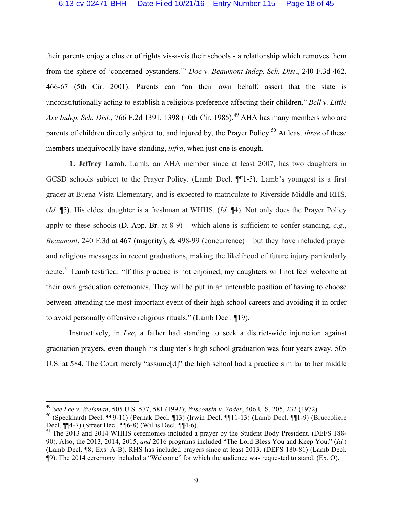their parents enjoy a cluster of rights vis-a-vis their schools - a relationship which removes them from the sphere of 'concerned bystanders.'" *Doe v. Beaumont Indep. Sch. Dist*., 240 F.3d 462, 466-67 (5th Cir. 2001). Parents can "on their own behalf, assert that the state is unconstitutionally acting to establish a religious preference affecting their children." *Bell v. Little Axe Indep. Sch. Dist.*, 766 F.2d 1391, 1398 (10th Cir. 1985). <sup>49</sup> AHA has many members who are parents of children directly subject to, and injured by, the Prayer Policy.50 At least *three* of these members unequivocally have standing, *infra*, when just one is enough.

**1. Jeffrey Lamb.** Lamb, an AHA member since at least 2007, has two daughters in GCSD schools subject to the Prayer Policy. (Lamb Decl. ¶¶1-5). Lamb's youngest is a first grader at Buena Vista Elementary, and is expected to matriculate to Riverside Middle and RHS. (*Id.* ¶5). His eldest daughter is a freshman at WHHS. (*Id.* ¶4). Not only does the Prayer Policy apply to these schools (D. App. Br. at 8-9) – which alone is sufficient to confer standing, *e.g.*, *Beaumont*, 240 F.3d at 467 (majority), & 498-99 (concurrence) – but they have included prayer and religious messages in recent graduations, making the likelihood of future injury particularly acute.<sup>51</sup> Lamb testified: "If this practice is not enjoined, my daughters will not feel welcome at their own graduation ceremonies. They will be put in an untenable position of having to choose between attending the most important event of their high school careers and avoiding it in order to avoid personally offensive religious rituals." (Lamb Decl. ¶19).

Instructively, in *Lee*, a father had standing to seek a district-wide injunction against graduation prayers, even though his daughter's high school graduation was four years away. 505 U.S. at 584. The Court merely "assume[d]" the high school had a practice similar to her middle

 <sup>49</sup> *See Lee v. Weisman*, 505 U.S. 577, 581 (1992); *Wisconsin v. Yoder*, 406 U.S. 205, 232 (1972).

<sup>50</sup> (Speckhardt Decl. ¶¶9-11) (Pernak Decl. ¶13) (Irwin Decl. ¶¶11-13) (Lamb Decl. ¶¶1-9) (Bruccoliere Decl. ¶¶4-7) (Street Decl. ¶¶6-8) (Willis Decl. ¶¶4-6).

<sup>&</sup>lt;sup>51</sup> The 2013 and 2014 WHHS ceremonies included a prayer by the Student Body President. (DEFS 188-90). Also, the 2013, 2014, 2015, *and* 2016 programs included "The Lord Bless You and Keep You." (*Id.*) (Lamb Decl. ¶8; Exs. A-B). RHS has included prayers since at least 2013. (DEFS 180-81) (Lamb Decl. ¶9). The 2014 ceremony included a "Welcome" for which the audience was requested to stand. (Ex. O).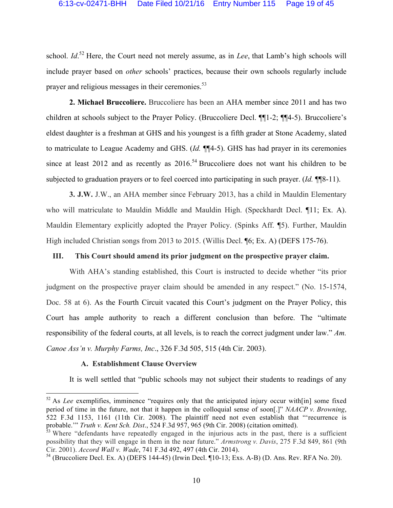school. *Id*.<sup>52</sup> Here, the Court need not merely assume, as in *Lee*, that Lamb's high schools will include prayer based on *other* schools' practices, because their own schools regularly include prayer and religious messages in their ceremonies.<sup>53</sup>

**2. Michael Bruccoliere.** Bruccoliere has been an AHA member since 2011 and has two children at schools subject to the Prayer Policy. (Bruccoliere Decl. ¶¶1-2; ¶¶4-5). Bruccoliere's eldest daughter is a freshman at GHS and his youngest is a fifth grader at Stone Academy, slated to matriculate to League Academy and GHS. (*Id.* ¶¶4-5). GHS has had prayer in its ceremonies since at least 2012 and as recently as  $2016$ <sup>54</sup> Bruccoliere does not want his children to be subjected to graduation prayers or to feel coerced into participating in such prayer. (*Id.* ¶¶8-11).

**3. J.W.** J.W., an AHA member since February 2013, has a child in Mauldin Elementary who will matriculate to Mauldin Middle and Mauldin High. (Speckhardt Decl. ¶11; Ex. A). Mauldin Elementary explicitly adopted the Prayer Policy. (Spinks Aff. ¶5). Further, Mauldin High included Christian songs from 2013 to 2015. (Willis Decl. **[6**; Ex. A) (DEFS 175-76).

#### **III. This Court should amend its prior judgment on the prospective prayer claim.**

With AHA's standing established, this Court is instructed to decide whether "its prior judgment on the prospective prayer claim should be amended in any respect." (No. 15-1574, Doc. 58 at 6). As the Fourth Circuit vacated this Court's judgment on the Prayer Policy, this Court has ample authority to reach a different conclusion than before. The "ultimate responsibility of the federal courts, at all levels, is to reach the correct judgment under law." *Am. Canoe Ass'n v. Murphy Farms, Inc*., 326 F.3d 505, 515 (4th Cir. 2003).

#### **A. Establishment Clause Overview**

It is well settled that "public schools may not subject their students to readings of any

<sup>&</sup>lt;sup>52</sup> As *Lee* exemplifies, imminence "requires only that the anticipated injury occur with [in] some fixed period of time in the future, not that it happen in the colloquial sense of soon[.]" *NAACP v. Browning*, 522 F.3d 1153, 1161 (11th Cir. 2008). The plaintiff need not even establish that "'recurrence is probable.'" *Truth v. Kent Sch. Dist*., 524 F.3d 957, 965 (9th Cir. 2008) (citation omitted).

 $53$  Where "defendants have repeatedly engaged in the injurious acts in the past, there is a sufficient possibility that they will engage in them in the near future." *Armstrong v. Davis*, 275 F.3d 849, 861 (9th Cir. 2001). *Accord Wall v. Wade*, 741 F.3d 492, 497 (4th Cir. 2014).

 $54$  (Bruccoliere Decl. Ex. A) (DEFS 144-45) (Irwin Decl. ¶10-13; Exs. A-B) (D. Ans. Rev. RFA No. 20).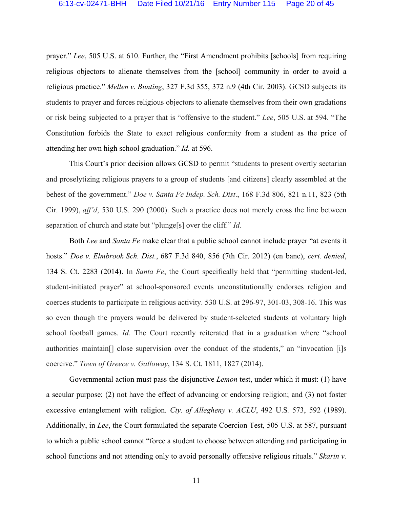prayer." *Lee*, 505 U.S. at 610. Further, the "First Amendment prohibits [schools] from requiring religious objectors to alienate themselves from the [school] community in order to avoid a religious practice." *Mellen v. Bunting*, 327 F.3d 355, 372 n.9 (4th Cir. 2003). GCSD subjects its students to prayer and forces religious objectors to alienate themselves from their own gradations or risk being subjected to a prayer that is "offensive to the student." *Lee*, 505 U.S. at 594. "The Constitution forbids the State to exact religious conformity from a student as the price of attending her own high school graduation." *Id.* at 596.

This Court's prior decision allows GCSD to permit "students to present overtly sectarian and proselytizing religious prayers to a group of students [and citizens] clearly assembled at the behest of the government." *Doe v. Santa Fe Indep. Sch. Dist*., 168 F.3d 806, 821 n.11, 823 (5th Cir. 1999), *aff'd*, 530 U.S. 290 (2000). Such a practice does not merely cross the line between separation of church and state but "plunge[s] over the cliff." *Id.* 

Both *Lee* and *Santa Fe* make clear that a public school cannot include prayer "at events it hosts." *Doe v. Elmbrook Sch. Dist.*, 687 F.3d 840, 856 (7th Cir. 2012) (en banc), *cert. denied*, 134 S. Ct. 2283 (2014). In *Santa Fe*, the Court specifically held that "permitting student-led, student-initiated prayer" at school-sponsored events unconstitutionally endorses religion and coerces students to participate in religious activity. 530 U.S. at 296-97, 301-03, 308-16. This was so even though the prayers would be delivered by student-selected students at voluntary high school football games. *Id.* The Court recently reiterated that in a graduation where "school authorities maintain[] close supervision over the conduct of the students," an "invocation [i]s coercive." *Town of Greece v. Galloway*, 134 S. Ct. 1811, 1827 (2014).

Governmental action must pass the disjunctive *Lemon* test, under which it must: (1) have a secular purpose; (2) not have the effect of advancing or endorsing religion; and (3) not foster excessive entanglement with religion. *Cty. of Allegheny v. ACLU*, 492 U.S*.* 573, 592 (1989). Additionally, in *Lee*, the Court formulated the separate Coercion Test, 505 U.S. at 587, pursuant to which a public school cannot "force a student to choose between attending and participating in school functions and not attending only to avoid personally offensive religious rituals." *Skarin v.*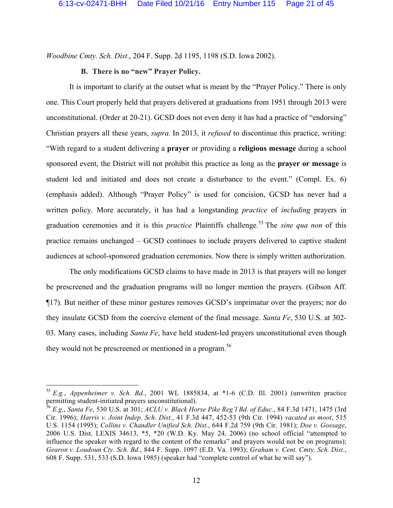*Woodbine Cmty. Sch. Dist*., 204 F. Supp. 2d 1195, 1198 (S.D. Iowa 2002).

### **B. There is no "new" Prayer Policy.**

It is important to clarify at the outset what is meant by the "Prayer Policy." There is only one. This Court properly held that prayers delivered at graduations from 1951 through 2013 were unconstitutional. (Order at 20-21). GCSD does not even deny it has had a practice of "endorsing" Christian prayers all these years, *supra.* In 2013, it *refused* to discontinue this practice, writing: "With regard to a student delivering a **prayer** or providing a **religious message** during a school sponsored event, the District will not prohibit this practice as long as the **prayer or message** is student led and initiated and does not create a disturbance to the event." (Compl. Ex. 6) (emphasis added). Although "Prayer Policy" is used for concision, GCSD has never had a written policy. More accurately, it has had a longstanding *practice* of *including* prayers in graduation ceremonies and it is this *practice* Plaintiffs challenge.<sup>55</sup> The *sine qua non* of this practice remains unchanged – GCSD continues to include prayers delivered to captive student audiences at school-sponsored graduation ceremonies. Now there is simply written authorization.

The only modifications GCSD claims to have made in 2013 is that prayers will no longer be prescreened and the graduation programs will no longer mention the prayers. (Gibson Aff. ¶17). But neither of these minor gestures removes GCSD's imprimatur over the prayers; nor do they insulate GCSD from the coercive element of the final message. *Santa Fe*, 530 U.S. at 302- 03. Many cases, including *Santa Fe*, have held student-led prayers unconstitutional even though they would not be prescreened or mentioned in a program.<sup>56</sup>

 <sup>55</sup> *E.g.*, *Appenheimer v. Sch. Bd.*, 2001 WL 1885834, at \*1-6 (C.D. Ill. 2001) (unwritten practice permitting student-initiated prayers unconstitutional).

<sup>56</sup> *E.g*., *Santa Fe*, 530 U.S. at 301; *ACLU v. Black Horse Pike Reg'l Bd. of Educ.*, 84 F.3d 1471, 1475 (3rd Cir. 1996); *Harris v. Joint Indep. Sch. Dist.*, 41 F.3d 447, 452-53 (9th Cir. 1994) *vacated as moot*, 515 U.S. 1154 (1995); *Collins v. Chandler Unified Sch. Dist.*, 644 F.2d 759 (9th Cir. 1981); *Doe v. Gossage*, 2006 U.S. Dist. LEXIS 34613, \*5, \*20 (W.D. Ky. May 24, 2006) (no school official "attempted to influence the speaker with regard to the content of the remarks" and prayers would not be on programs); *Gearon v. Loudoun Cty. Sch. Bd.*, 844 F. Supp. 1097 (E.D. Va. 1993); *Graham v. Cent. Cmty. Sch. Dist*., 608 F. Supp. 531, 533 (S.D. Iowa 1985) (speaker had "complete control of what he will say").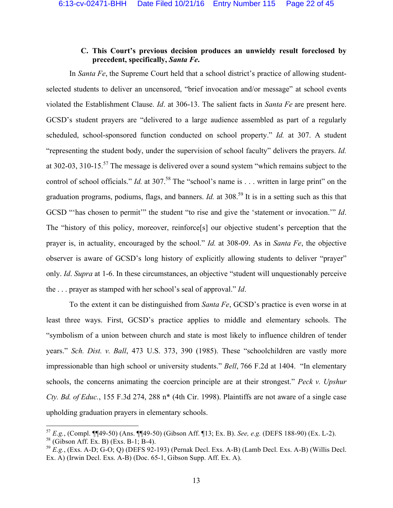### **C. This Court's previous decision produces an unwieldy result foreclosed by precedent, specifically,** *Santa Fe***.**

In *Santa Fe*, the Supreme Court held that a school district's practice of allowing studentselected students to deliver an uncensored, "brief invocation and/or message" at school events violated the Establishment Clause. *Id*. at 306-13. The salient facts in *Santa Fe* are present here. GCSD's student prayers are "delivered to a large audience assembled as part of a regularly scheduled, school-sponsored function conducted on school property." *Id.* at 307. A student "representing the student body, under the supervision of school faculty" delivers the prayers. *Id.* at 302-03, 310-15.57 The message is delivered over a sound system "which remains subject to the control of school officials." *Id.* at 307.<sup>58</sup> The "school's name is . . . written in large print" on the graduation programs, podiums, flags, and banners. *Id.* at 308.<sup>59</sup> It is in a setting such as this that GCSD "'has chosen to permit'" the student "to rise and give the 'statement or invocation.'" *Id*. The "history of this policy, moreover, reinforce[s] our objective student's perception that the prayer is, in actuality, encouraged by the school." *Id.* at 308-09. As in *Santa Fe*, the objective observer is aware of GCSD's long history of explicitly allowing students to deliver "prayer" only. *Id*. *Supra* at 1-6. In these circumstances, an objective "student will unquestionably perceive the . . . prayer as stamped with her school's seal of approval." *Id*.

To the extent it can be distinguished from *Santa Fe*, GCSD's practice is even worse in at least three ways. First, GCSD's practice applies to middle and elementary schools. The "symbolism of a union between church and state is most likely to influence children of tender years." *Sch. Dist. v. Ball*, 473 U.S. 373, 390 (1985). These "schoolchildren are vastly more impressionable than high school or university students." *Bell*, 766 F.2d at 1404. "In elementary schools, the concerns animating the coercion principle are at their strongest." *Peck v. Upshur Cty. Bd. of Educ.*, 155 F.3d 274, 288 n\* (4th Cir. 1998). Plaintiffs are not aware of a single case upholding graduation prayers in elementary schools.

 <sup>57</sup> *E.g.*, (Compl. ¶¶49-50) (Ans. ¶¶49-50) (Gibson Aff. ¶13; Ex. B). *See, e.g.* (DEFS 188-90) (Ex. L-2).

<sup>58</sup> (Gibson Aff. Ex. B) (Exs. B-1; B-4).

 $^{59}$  *E.g.*, (Exs. A-D; G-O; Q) (DEFS 92-193) (Pernak Decl. Exs. A-B) (Lamb Decl. Exs. A-B) (Willis Decl. Ex. A) (Irwin Decl. Exs. A-B) (Doc. 65-1, Gibson Supp. Aff. Ex. A).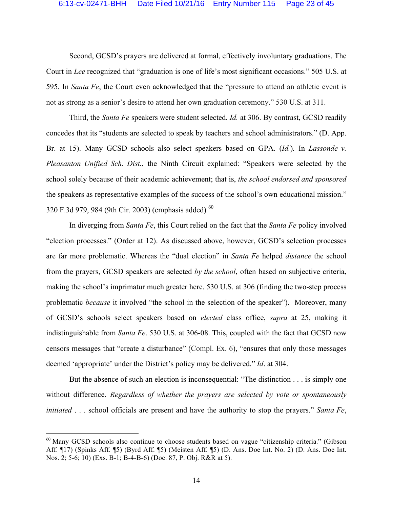Second, GCSD's prayers are delivered at formal, effectively involuntary graduations. The Court in *Lee* recognized that "graduation is one of life's most significant occasions." 505 U.S. at 595. In *Santa Fe*, the Court even acknowledged that the "pressure to attend an athletic event is not as strong as a senior's desire to attend her own graduation ceremony." 530 U.S. at 311.

Third, the *Santa Fe* speakers were student selected. *Id.* at 306. By contrast, GCSD readily concedes that its "students are selected to speak by teachers and school administrators." (D. App. Br. at 15). Many GCSD schools also select speakers based on GPA. (*Id.*)*.* In *Lassonde v. Pleasanton Unified Sch. Dist.*, the Ninth Circuit explained: "Speakers were selected by the school solely because of their academic achievement; that is, *the school endorsed and sponsored*  the speakers as representative examples of the success of the school's own educational mission." 320 F.3d 979, 984 (9th Cir. 2003) (emphasis added)*.* 60

In diverging from *Santa Fe*, this Court relied on the fact that the *Santa Fe* policy involved "election processes." (Order at 12). As discussed above, however, GCSD's selection processes are far more problematic. Whereas the "dual election" in *Santa Fe* helped *distance* the school from the prayers, GCSD speakers are selected *by the school*, often based on subjective criteria, making the school's imprimatur much greater here. 530 U.S. at 306 (finding the two-step process problematic *because* it involved "the school in the selection of the speaker"). Moreover, many of GCSD's schools select speakers based on *elected* class office, *supra* at 25, making it indistinguishable from *Santa Fe*. 530 U.S. at 306-08. This, coupled with the fact that GCSD now censors messages that "create a disturbance" (Compl. Ex. 6), "ensures that only those messages deemed 'appropriate' under the District's policy may be delivered." *Id*. at 304.

But the absence of such an election is inconsequential: "The distinction . . . is simply one without difference. *Regardless of whether the prayers are selected by vote or spontaneously initiated* . . . school officials are present and have the authority to stop the prayers." *Santa Fe*,

 $60$  Many GCSD schools also continue to choose students based on vague "citizenship criteria." (Gibson Aff. ¶17) (Spinks Aff. ¶5) (Byrd Aff. ¶5) (Meisten Aff. ¶5) (D. Ans. Doe Int. No. 2) (D. Ans. Doe Int. Nos. 2; 5-6; 10) (Exs. B-1; B-4-B-6) (Doc. 87, P. Obj. R&R at 5).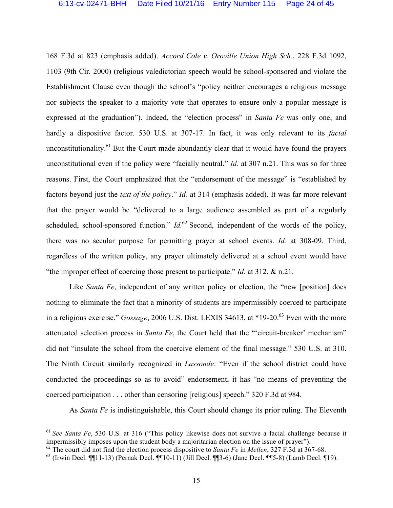168 F.3d at 823 (emphasis added). *Accord Cole v. Oroville Union High Sch.*, 228 F.3d 1092, 1103 (9th Cir. 2000) (religious valedictorian speech would be school-sponsored and violate the Establishment Clause even though the school's "policy neither encourages a religious message nor subjects the speaker to a majority vote that operates to ensure only a popular message is expressed at the graduation"). Indeed, the "election process" in *Santa Fe* was only one, and hardly a dispositive factor. 530 U.S. at 307-17. In fact, it was only relevant to its *facial* unconstitutionality.<sup>61</sup> But the Court made abundantly clear that it would have found the prayers unconstitutional even if the policy were "facially neutral." *Id.* at 307 n.21. This was so for three reasons. First, the Court emphasized that the "endorsement of the message" is "established by factors beyond just the *text of the policy*." *Id.* at 314 (emphasis added). It was far more relevant that the prayer would be "delivered to a large audience assembled as part of a regularly scheduled, school-sponsored function." *Id.*<sup>62</sup> Second, independent of the words of the policy, there was no secular purpose for permitting prayer at school events. *Id.* at 308-09. Third, regardless of the written policy, any prayer ultimately delivered at a school event would have "the improper effect of coercing those present to participate." *Id.* at 312, & n.21.

Like *Santa Fe*, independent of any written policy or election, the "new [position] does nothing to eliminate the fact that a minority of students are impermissibly coerced to participate in a religious exercise." *Gossage*, 2006 U.S. Dist. LEXIS 34613, at \*19-20. <sup>63</sup> Even with the more attenuated selection process in *Santa Fe*, the Court held that the "'circuit-breaker' mechanism" did not "insulate the school from the coercive element of the final message." 530 U.S. at 310. The Ninth Circuit similarly recognized in *Lassonde*: "Even if the school district could have conducted the proceedings so as to avoid" endorsement, it has "no means of preventing the coerced participation . . . other than censoring [religious] speech." 320 F.3d at 984.

As *Santa Fe* is indistinguishable, this Court should change its prior ruling. The Eleventh

 <sup>61</sup> *See Santa Fe*, 530 U.S. at 316 ("This policy likewise does not survive a facial challenge because it impermissibly imposes upon the student body a majoritarian election on the issue of prayer").

<sup>62</sup> The court did not find the election process dispositive to *Santa Fe* in *Mellen*, 327 F.3d at 367-68.

 $^{63}$  (Irwin Decl. ¶[11-13) (Pernak Decl. ¶[10-11) (Jill Decl. ¶[3-6) (Jane Decl. ¶[5-8) (Lamb Decl. [[19).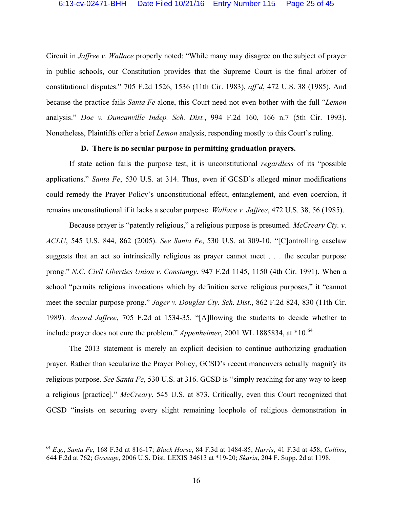Circuit in *Jaffree v. Wallace* properly noted: "While many may disagree on the subject of prayer in public schools, our Constitution provides that the Supreme Court is the final arbiter of constitutional disputes." 705 F.2d 1526, 1536 (11th Cir. 1983), *aff'd*, 472 U.S. 38 (1985). And because the practice fails *Santa Fe* alone, this Court need not even bother with the full "*Lemon* analysis." *Doe v. Duncanville Indep. Sch. Dist.*, 994 F.2d 160, 166 n.7 (5th Cir. 1993). Nonetheless, Plaintiffs offer a brief *Lemon* analysis, responding mostly to this Court's ruling.

#### **D. There is no secular purpose in permitting graduation prayers.**

If state action fails the purpose test, it is unconstitutional *regardless* of its "possible applications." *Santa Fe*, 530 U.S. at 314. Thus, even if GCSD's alleged minor modifications could remedy the Prayer Policy's unconstitutional effect, entanglement, and even coercion, it remains unconstitutional if it lacks a secular purpose. *Wallace v. Jaffree*, 472 U.S. 38, 56 (1985).

Because prayer is "patently religious," a religious purpose is presumed. *McCreary Cty. v. ACLU*, 545 U.S. 844, 862 (2005). *See Santa Fe*, 530 U.S. at 309-10. "[C]ontrolling caselaw suggests that an act so intrinsically religious as prayer cannot meet . . . the secular purpose prong." *N.C. Civil Liberties Union v. Constangy*, 947 F.2d 1145, 1150 (4th Cir. 1991). When a school "permits religious invocations which by definition serve religious purposes," it "cannot meet the secular purpose prong." *Jager v. Douglas Cty. Sch. Dist*., 862 F.2d 824, 830 (11th Cir. 1989). *Accord Jaffree*, 705 F.2d at 1534-35. "[A]llowing the students to decide whether to include prayer does not cure the problem." *Appenheimer*, 2001 WL 1885834, at \*10*.* 64

The 2013 statement is merely an explicit decision to continue authorizing graduation prayer. Rather than secularize the Prayer Policy, GCSD's recent maneuvers actually magnify its religious purpose. *See Santa Fe*, 530 U.S. at 316. GCSD is "simply reaching for any way to keep a religious [practice]." *McCreary*, 545 U.S. at 873. Critically, even this Court recognized that GCSD "insists on securing every slight remaining loophole of religious demonstration in

 <sup>64</sup> *E.g.*, *Santa Fe*, 168 F.3d at 816-17; *Black Horse*, 84 F.3d at 1484-85; *Harris*, 41 F.3d at 458; *Collins*, 644 F.2d at 762; *Gossage*, 2006 U.S. Dist. LEXIS 34613 at \*19-20; *Skarin*, 204 F. Supp. 2d at 1198.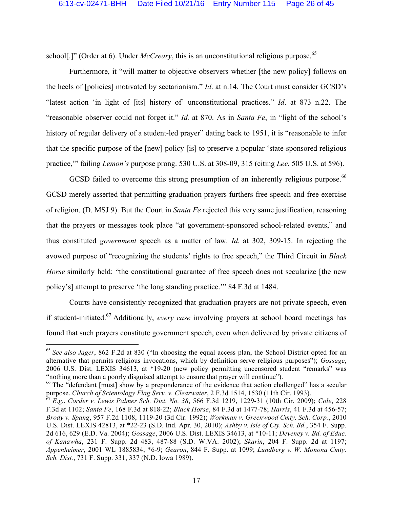school[.]" (Order at 6). Under *McCreary*, this is an unconstitutional religious purpose.<sup>65</sup>

Furthermore, it "will matter to objective observers whether [the new policy] follows on the heels of [policies] motivated by sectarianism." *Id*. at n.14. The Court must consider GCSD's "latest action 'in light of [its] history of' unconstitutional practices." *Id*. at 873 n.22. The "reasonable observer could not forget it." *Id.* at 870. As in *Santa Fe*, in "light of the school's history of regular delivery of a student-led prayer" dating back to 1951, it is "reasonable to infer that the specific purpose of the [new] policy [is] to preserve a popular 'state-sponsored religious practice,'" failing *Lemon's* purpose prong. 530 U.S. at 308-09, 315 (citing *Lee*, 505 U.S. at 596).

GCSD failed to overcome this strong presumption of an inherently religious purpose.<sup>66</sup> GCSD merely asserted that permitting graduation prayers furthers free speech and free exercise of religion. (D. MSJ 9). But the Court in *Santa Fe* rejected this very same justification, reasoning that the prayers or messages took place "at government-sponsored school-related events," and thus constituted *government* speech as a matter of law. *Id.* at 302, 309-15. In rejecting the avowed purpose of "recognizing the students' rights to free speech," the Third Circuit in *Black Horse* similarly held: "the constitutional guarantee of free speech does not secularize [the new policy's] attempt to preserve 'the long standing practice.'" 84 F.3d at 1484.

Courts have consistently recognized that graduation prayers are not private speech, even if student-initiated.67 Additionally, *every case* involving prayers at school board meetings has found that such prayers constitute government speech, even when delivered by private citizens of

 <sup>65</sup> *See also Jager*, 862 F.2d at 830 ("In choosing the equal access plan, the School District opted for an alternative that permits religious invocations, which by definition serve religious purposes"); *Gossage*, 2006 U.S. Dist. LEXIS 34613, at \*19-20 (new policy permitting uncensored student "remarks" was "nothing more than a poorly disguised attempt to ensure that prayer will continue").

<sup>&</sup>lt;sup>66</sup> The "defendant [must] show by a preponderance of the evidence that action challenged" has a secular purpose. *Church of Scientology Flag Serv. v. Clearwater*, 2 F.3d 1514, 1530 (11th Cir. 1993).

<sup>67</sup> *E.g.*, *Corder v. Lewis Palmer Sch. Dist. No. 38*, 566 F.3d 1219, 1229-31 (10th Cir. 2009); *Cole*, 228 F.3d at 1102; *Santa Fe*, 168 F.3d at 818-22; *Black Horse*, 84 F.3d at 1477-78; *Harris*, 41 F.3d at 456-57; *Brody v. Spang*, 957 F.2d 1108, 1119-20 (3d Cir. 1992); *Workman v. Greenwood Cmty. Sch. Corp.*, 2010 U.S. Dist. LEXIS 42813, at \*22-23 (S.D. Ind. Apr. 30, 2010); *Ashby v. Isle of Cty. Sch. Bd.*, 354 F. Supp. 2d 616, 629 (E.D. Va. 2004); *Gossage*, 2006 U.S. Dist. LEXIS 34613, at \*10-11; *Deveney v. Bd. of Educ. of Kanawha*, 231 F. Supp. 2d 483, 487-88 (S.D. W.VA. 2002); *Skarin*, 204 F. Supp. 2d at 1197; *Appenheimer*, 2001 WL 1885834, \*6-9; *Gearon*, 844 F. Supp. at 1099; *Lundberg v. W. Monona Cmty. Sch. Dist.*, 731 F. Supp. 331, 337 (N.D. Iowa 1989).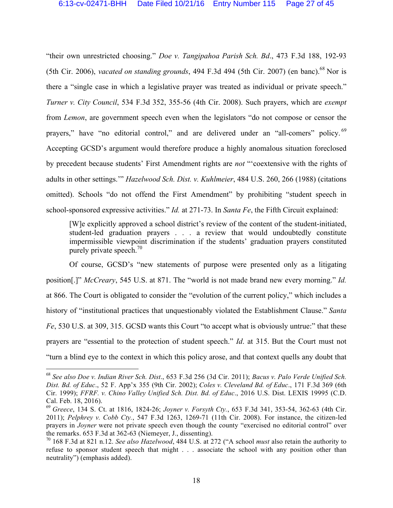"their own unrestricted choosing." *Doe v. Tangipahoa Parish Sch. Bd*., 473 F.3d 188, 192-93 (5th Cir. 2006), *vacated on standing grounds*, 494 F.3d 494 (5th Cir. 2007) (en banc). <sup>68</sup> Nor is there a "single case in which a legislative prayer was treated as individual or private speech." *Turner v. City Council*, 534 F.3d 352, 355-56 (4th Cir. 2008). Such prayers, which are *exempt*  from *Lemon*, are government speech even when the legislators "do not compose or censor the prayers," have "no editorial control," and are delivered under an "all-comers" policy.<sup>69</sup> Accepting GCSD's argument would therefore produce a highly anomalous situation foreclosed by precedent because students' First Amendment rights are *not* "'coextensive with the rights of adults in other settings.'" *Hazelwood Sch. Dist. v. Kuhlmeier*, 484 U.S. 260, 266 (1988) (citations omitted). Schools "do not offend the First Amendment" by prohibiting "student speech in school-sponsored expressive activities." *Id.* at 271-73. In *Santa Fe*, the Fifth Circuit explained:

[W]e explicitly approved a school district's review of the content of the student-initiated, student-led graduation prayers . . . a review that would undoubtedly constitute impermissible viewpoint discrimination if the students' graduation prayers constituted purely private speech.<sup>70</sup>

Of course, GCSD's "new statements of purpose were presented only as a litigating position[.]" *McCreary*, 545 U.S. at 871. The "world is not made brand new every morning." *Id.* at 866. The Court is obligated to consider the "evolution of the current policy," which includes a history of "institutional practices that unquestionably violated the Establishment Clause." *Santa Fe*, 530 U.S. at 309, 315. GCSD wants this Court "to accept what is obviously untrue:" that these prayers are "essential to the protection of student speech." *Id*. at 315. But the Court must not "turn a blind eye to the context in which this policy arose, and that context quells any doubt that

 <sup>68</sup> *See also Doe v. Indian River Sch. Dist*., 653 F.3d 256 (3d Cir. 2011); *Bacus v. Palo Verde Unified Sch. Dist. Bd. of Educ*., 52 F. App'x 355 (9th Cir. 2002); *Coles v. Cleveland Bd. of Educ*., 171 F.3d 369 (6th Cir. 1999); *FFRF. v. Chino Valley Unified Sch. Dist. Bd. of Educ*., 2016 U.S. Dist. LEXIS 19995 (C.D. Cal. Feb. 18, 2016).

<sup>69</sup> *Greece*, 134 S. Ct. at 1816, 1824-26; *Joyner v. Forsyth Cty.*, 653 F.3d 341, 353-54, 362-63 (4th Cir. 2011); *Pelphrey v. Cobb Cty.*, 547 F.3d 1263, 1269-71 (11th Cir. 2008). For instance, the citizen-led prayers in *Joyner* were not private speech even though the county "exercised no editorial control" over the remarks. 653 F.3d at 362-63 (Niemeyer, J., dissenting).

<sup>70</sup> 168 F.3d at 821 n.12. *See also Hazelwood*, 484 U.S. at 272 ("A school *must* also retain the authority to refuse to sponsor student speech that might . . . associate the school with any position other than neutrality") (emphasis added).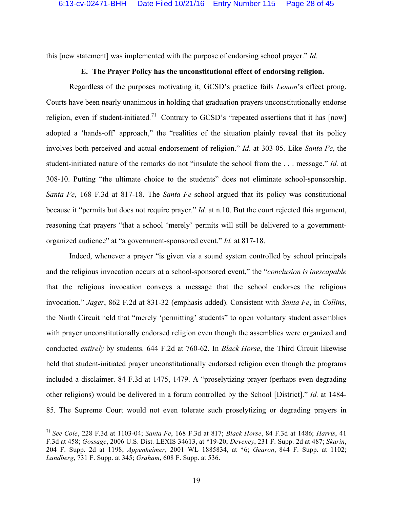this [new statement] was implemented with the purpose of endorsing school prayer." *Id.*

#### **E. The Prayer Policy has the unconstitutional effect of endorsing religion.**

Regardless of the purposes motivating it, GCSD's practice fails *Lemon*'s effect prong. Courts have been nearly unanimous in holding that graduation prayers unconstitutionally endorse religion, even if student-initiated*.* <sup>71</sup> Contrary to GCSD's "repeated assertions that it has [now] adopted a 'hands-off' approach," the "realities of the situation plainly reveal that its policy involves both perceived and actual endorsement of religion." *Id*. at 303-05. Like *Santa Fe*, the student-initiated nature of the remarks do not "insulate the school from the . . . message." *Id.* at 308-10. Putting "the ultimate choice to the students" does not eliminate school-sponsorship. *Santa Fe*, 168 F.3d at 817-18. The *Santa Fe* school argued that its policy was constitutional because it "permits but does not require prayer." *Id.* at n.10. But the court rejected this argument, reasoning that prayers "that a school 'merely' permits will still be delivered to a governmentorganized audience" at "a government-sponsored event." *Id.* at 817-18.

Indeed, whenever a prayer "is given via a sound system controlled by school principals and the religious invocation occurs at a school-sponsored event," the "*conclusion is inescapable* that the religious invocation conveys a message that the school endorses the religious invocation." *Jager*, 862 F.2d at 831-32 (emphasis added). Consistent with *Santa Fe*, in *Collins*, the Ninth Circuit held that "merely 'permitting' students" to open voluntary student assemblies with prayer unconstitutionally endorsed religion even though the assemblies were organized and conducted *entirely* by students. 644 F.2d at 760-62. In *Black Horse*, the Third Circuit likewise held that student-initiated prayer unconstitutionally endorsed religion even though the programs included a disclaimer. 84 F.3d at 1475, 1479. A "proselytizing prayer (perhaps even degrading other religions) would be delivered in a forum controlled by the School [District]." *Id.* at 1484- 85*.* The Supreme Court would not even tolerate such proselytizing or degrading prayers in

 <sup>71</sup> *See Cole*, 228 F.3d at 1103-04; *Santa Fe*, 168 F.3d at 817; *Black Horse*, 84 F.3d at 1486; *Harris*, 41 F.3d at 458; *Gossage*, 2006 U.S. Dist. LEXIS 34613, at \*19-20; *Deveney*, 231 F. Supp. 2d at 487; *Skarin*, 204 F. Supp. 2d at 1198; *Appenheimer*, 2001 WL 1885834, at \*6; *Gearon*, 844 F. Supp. at 1102; *Lundberg*, 731 F. Supp. at 345; *Graham*, 608 F. Supp. at 536.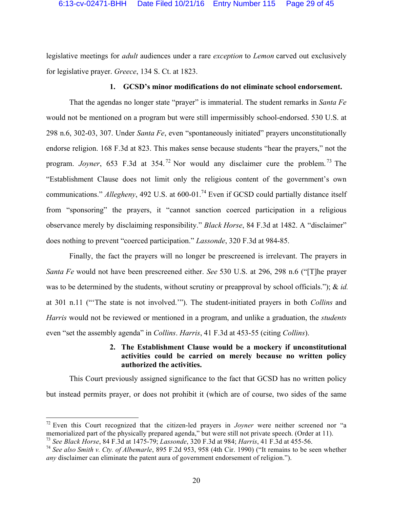legislative meetings for *adult* audiences under a rare *exception* to *Lemon* carved out exclusively for legislative prayer. *Greece*, 134 S. Ct. at 1823.

#### **1. GCSD's minor modifications do not eliminate school endorsement.**

That the agendas no longer state "prayer" is immaterial. The student remarks in *Santa Fe*  would not be mentioned on a program but were still impermissibly school-endorsed. 530 U.S. at 298 n.6, 302-03, 307. Under *Santa Fe*, even "spontaneously initiated" prayers unconstitutionally endorse religion. 168 F.3d at 823. This makes sense because students "hear the prayers," not the program. *Joyner*, 653 F.3d at 354.<sup>72</sup> Nor would any disclaimer cure the problem.<sup>73</sup> The "Establishment Clause does not limit only the religious content of the government's own communications." *Allegheny*, 492 U.S. at 600-01.<sup>74</sup> Even if GCSD could partially distance itself from "sponsoring" the prayers, it "cannot sanction coerced participation in a religious observance merely by disclaiming responsibility." *Black Horse*, 84 F.3d at 1482. A "disclaimer" does nothing to prevent "coerced participation." *Lassonde*, 320 F.3d at 984-85.

Finally, the fact the prayers will no longer be prescreened is irrelevant. The prayers in *Santa Fe* would not have been prescreened either. *See* 530 U.S. at 296, 298 n.6 ("[T]he prayer was to be determined by the students, without scrutiny or preapproval by school officials."); & *id.*  at 301 n.11 ("'The state is not involved.'"). The student-initiated prayers in both *Collins* and *Harris* would not be reviewed or mentioned in a program, and unlike a graduation, the *students* even "set the assembly agenda" in *Collins*. *Harris*, 41 F.3d at 453-55 (citing *Collins*).

### **2. The Establishment Clause would be a mockery if unconstitutional activities could be carried on merely because no written policy authorized the activities.**

This Court previously assigned significance to the fact that GCSD has no written policy but instead permits prayer, or does not prohibit it (which are of course, two sides of the same

 <sup>72</sup> Even this Court recognized that the citizen-led prayers in *Joyner* were neither screened nor "a memorialized part of the physically prepared agenda," but were still not private speech. (Order at 11). <sup>73</sup> *See Black Horse*, 84 F.3d at 1475-79; *Lassonde*, 320 F.3d at 984; *Harris*, 41 F.3d at 455-56.

<sup>74</sup> *See also Smith v. Cty. of Albemarle*, 895 F.2d 953, 958 (4th Cir. 1990) ("It remains to be seen whether *any* disclaimer can eliminate the patent aura of government endorsement of religion.").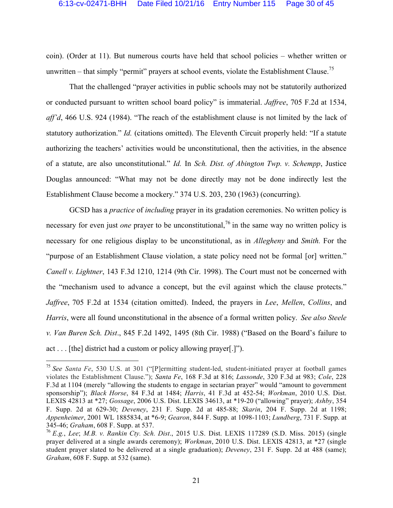coin). (Order at 11). But numerous courts have held that school policies – whether written or unwritten – that simply "permit" prayers at school events, violate the Establishment Clause.<sup>75</sup>

That the challenged "prayer activities in public schools may not be statutorily authorized or conducted pursuant to written school board policy" is immaterial. *Jaffree*, 705 F.2d at 1534, *aff'd*, 466 U.S. 924 (1984). "The reach of the establishment clause is not limited by the lack of statutory authorization." *Id.* (citations omitted). The Eleventh Circuit properly held: "If a statute authorizing the teachers' activities would be unconstitutional, then the activities, in the absence of a statute, are also unconstitutional." *Id.* In *Sch. Dist. of Abington Twp. v. Schempp*, Justice Douglas announced: "What may not be done directly may not be done indirectly lest the Establishment Clause become a mockery." 374 U.S. 203, 230 (1963) (concurring).

GCSD has a *practice* of *including* prayer in its gradation ceremonies. No written policy is necessary for even just *one* prayer to be unconstitutional,<sup>76</sup> in the same way no written policy is necessary for one religious display to be unconstitutional, as in *Allegheny* and *Smith.* For the "purpose of an Establishment Clause violation, a state policy need not be formal [or] written." *Canell v. Lightner*, 143 F.3d 1210, 1214 (9th Cir. 1998). The Court must not be concerned with the "mechanism used to advance a concept, but the evil against which the clause protects." *Jaffree*, 705 F.2d at 1534 (citation omitted). Indeed, the prayers in *Lee*, *Mellen*, *Collins*, and *Harris*, were all found unconstitutional in the absence of a formal written policy. *See also Steele v. Van Buren Sch. Dist*., 845 F.2d 1492, 1495 (8th Cir. 1988) ("Based on the Board's failure to act . . . [the] district had a custom or policy allowing prayer[.]").

 <sup>75</sup> *See Santa Fe*, 530 U.S. at 301 ("[P]ermitting student-led, student-initiated prayer at football games violates the Establishment Clause."); *Santa Fe*, 168 F.3d at 816; *Lassonde*, 320 F.3d at 983; *Cole*, 228 F.3d at 1104 (merely "allowing the students to engage in sectarian prayer" would "amount to government sponsorship"); *Black Horse*, 84 F.3d at 1484; *Harris*, 41 F.3d at 452-54; *Workman*, 2010 U.S. Dist. LEXIS 42813 at \*27; *Gossage*, 2006 U.S. Dist. LEXIS 34613, at \*19-20 ("allowing" prayer); *Ashby*, 354 F. Supp. 2d at 629-30; *Deveney*, 231 F. Supp. 2d at 485-88; *Skarin*, 204 F. Supp. 2d at 1198; *Appenheimer*, 2001 WL 1885834, at \*6-9; *Gearon*, 844 F. Supp. at 1098-1103; *Lundberg*, 731 F. Supp. at 345-46; *Graham*, 608 F. Supp. at 537.

<sup>76</sup> *E.g.*, *Lee*; *M.B. v. Rankin Cty. Sch. Dist*., 2015 U.S. Dist. LEXIS 117289 (S.D. Miss. 2015) (single prayer delivered at a single awards ceremony); *Workman*, 2010 U.S. Dist. LEXIS 42813, at \*27 (single student prayer slated to be delivered at a single graduation); *Deveney*, 231 F. Supp. 2d at 488 (same); *Graham*, 608 F. Supp. at 532 (same).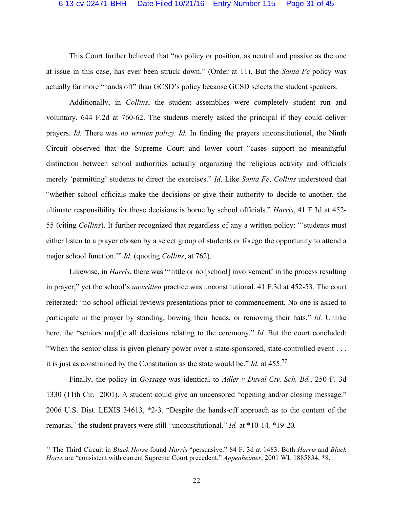This Court further believed that "no policy or position, as neutral and passive as the one at issue in this case, has ever been struck down." (Order at 11). But the *Santa Fe* policy was actually far more "hands off" than GCSD's policy because GCSD selects the student speakers.

Additionally, in *Collins*, the student assemblies were completely student run and voluntary. 644 F.2d at 760-62. The students merely asked the principal if they could deliver prayers. *Id.* There was *no written policy. Id.* In finding the prayers unconstitutional, the Ninth Circuit observed that the Supreme Court and lower court "cases support no meaningful distinction between school authorities actually organizing the religious activity and officials merely 'permitting' students to direct the exercises." *Id*. Like *Santa Fe*, *Collins* understood that "whether school officials make the decisions or give their authority to decide to another, the ultimate responsibility for those decisions is borne by school officials." *Harris*, 41 F.3d at 452- 55 (citing *Collins*). It further recognized that regardless of any a written policy: "'students must either listen to a prayer chosen by a select group of students or forego the opportunity to attend a major school function.'" *Id.* (quoting *Collins*, at 762).

Likewise, in *Harris*, there was "little or no [school] involvement' in the process resulting in prayer," yet the school's *unwritten* practice was unconstitutional. 41 F.3d at 452-53. The court reiterated: "no school official reviews presentations prior to commencement. No one is asked to participate in the prayer by standing, bowing their heads, or removing their hats." *Id.* Unlike here, the "seniors ma<sup>[d]</sup>e all decisions relating to the ceremony." *Id.* But the court concluded: "When the senior class is given plenary power over a state-sponsored, state-controlled event . . . it is just as constrained by the Constitution as the state would be." *Id.* at 455.77

Finally, the policy in *Gossage* was identical to *Adler v Duval Cty. Sch. Bd.*, 250 F. 3d 1330 (11th Cir. 2001). A student could give an uncensored "opening and/or closing message." 2006 U.S. Dist. LEXIS 34613, \*2-3. "Despite the hands-off approach as to the content of the remarks," the student prayers were still "unconstitutional*.*" *Id.* at \*10-14*,* \*19-20*.*

 <sup>77</sup> The Third Circuit in *Black Horse* found *Harris* "persuasive." 84 F. 3d at 1483. Both *Harris* and *Black Horse* are "consistent with current Supreme Court precedent." *Appenheimer*, 2001 WL 1885834, \*8.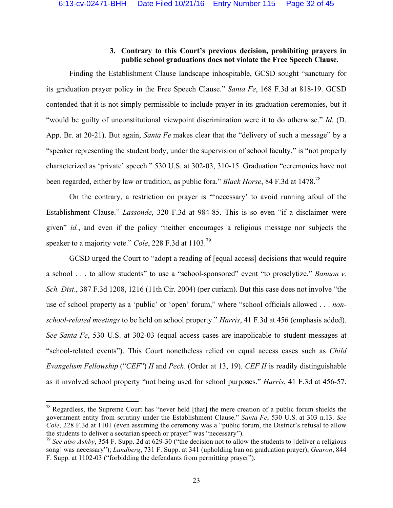### **3. Contrary to this Court's previous decision, prohibiting prayers in public school graduations does not violate the Free Speech Clause.**

Finding the Establishment Clause landscape inhospitable, GCSD sought "sanctuary for its graduation prayer policy in the Free Speech Clause." *Santa Fe*, 168 F.3d at 818-19. GCSD contended that it is not simply permissible to include prayer in its graduation ceremonies, but it "would be guilty of unconstitutional viewpoint discrimination were it to do otherwise." *Id.* (D. App. Br. at 20-21). But again, *Santa Fe* makes clear that the "delivery of such a message" by a "speaker representing the student body, under the supervision of school faculty," is "not properly characterized as 'private' speech." 530 U.S. at 302-03, 310-15. Graduation "ceremonies have not been regarded, either by law or tradition, as public fora." *Black Horse*, 84 F.3d at 1478.78

On the contrary, a restriction on prayer is "'necessary' to avoid running afoul of the Establishment Clause." *Lassonde*, 320 F.3d at 984-85. This is so even "if a disclaimer were given" *id.*, and even if the policy "neither encourages a religious message nor subjects the speaker to a majority vote." *Cole*, 228 F.3d at 1103. 79

GCSD urged the Court to "adopt a reading of [equal access] decisions that would require a school . . . to allow students" to use a "school-sponsored" event "to proselytize." *Bannon v. Sch. Dist*., 387 F.3d 1208, 1216 (11th Cir. 2004) (per curiam). But this case does not involve "the use of school property as a 'public' or 'open' forum," where "school officials allowed . . . *nonschool-related meetings* to be held on school property." *Harris*, 41 F.3d at 456 (emphasis added). *See Santa Fe*, 530 U.S. at 302-03 (equal access cases are inapplicable to student messages at "school-related events"). This Court nonetheless relied on equal access cases such as *Child Evangelism Fellowship* ("*CEF*") *II* and *Peck.* (Order at 13, 19). *CEF II* is readily distinguishable as it involved school property "not being used for school purposes." *Harris*, 41 F.3d at 456-57.

 $78$  Regardless, the Supreme Court has "never held [that] the mere creation of a public forum shields the government entity from scrutiny under the Establishment Clause." *Santa Fe*, 530 U.S. at 303 n.13. *See Cole*, 228 F.3d at 1101 (even assuming the ceremony was a "public forum, the District's refusal to allow the students to deliver a sectarian speech or prayer" was "necessary").

<sup>79</sup> *See also Ashby*, 354 F. Supp. 2d at 629-30 ("the decision not to allow the students to [deliver a religious song] was necessary"); *Lundberg*, 731 F. Supp. at 341 (upholding ban on graduation prayer); *Gearon*, 844 F. Supp. at 1102-03 ("forbidding the defendants from permitting prayer").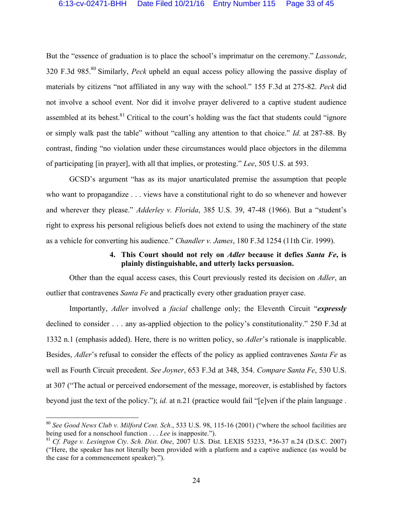But the "essence of graduation is to place the school's imprimatur on the ceremony." *Lassonde*, 320 F.3d 985.80 Similarly, *Peck* upheld an equal access policy allowing the passive display of materials by citizens "not affiliated in any way with the school." 155 F.3d at 275-82. *Peck* did not involve a school event. Nor did it involve prayer delivered to a captive student audience assembled at its behest.<sup>81</sup> Critical to the court's holding was the fact that students could "ignore" or simply walk past the table" without "calling any attention to that choice." *Id.* at 287-88. By contrast, finding "no violation under these circumstances would place objectors in the dilemma of participating [in prayer], with all that implies, or protesting." *Lee*, 505 U.S. at 593.

GCSD's argument "has as its major unarticulated premise the assumption that people who want to propagandize . . . views have a constitutional right to do so whenever and however and wherever they please." *Adderley v. Florida*, 385 U.S. 39, 47-48 (1966). But a "student's right to express his personal religious beliefs does not extend to using the machinery of the state as a vehicle for converting his audience." *Chandler v. James*, 180 F.3d 1254 (11th Cir. 1999).

### **4. This Court should not rely on** *Adler* **because it defies** *Santa Fe***, is plainly distinguishable, and utterly lacks persuasion.**

Other than the equal access cases, this Court previously rested its decision on *Adler*, an outlier that contravenes *Santa Fe* and practically every other graduation prayer case.

Importantly, *Adler* involved a *facial* challenge only; the Eleventh Circuit "*expressly*  declined to consider . . . any as-applied objection to the policy's constitutionality." 250 F.3d at 1332 n.1 (emphasis added). Here, there is no written policy, so *Adler*'s rationale is inapplicable. Besides, *Adler*'s refusal to consider the effects of the policy as applied contravenes *Santa Fe* as well as Fourth Circuit precedent. *See Joyner*, 653 F.3d at 348, 354. *Compare Santa Fe*, 530 U.S. at 307 ("The actual or perceived endorsement of the message, moreover, is established by factors beyond just the text of the policy."); *id.* at n.21 (practice would fail "[e]ven if the plain language .

 <sup>80</sup> *See Good News Club v. Milford Cent. Sch*., 533 U.S. 98, 115-16 (2001) ("where the school facilities are being used for a nonschool function . . . *Lee* is inapposite.").

<sup>81</sup> *Cf. Page v. Lexington Cty. Sch. Dist. One*, 2007 U.S. Dist. LEXIS 53233, \*36-37 n.24 (D.S.C. 2007) ("Here, the speaker has not literally been provided with a platform and a captive audience (as would be the case for a commencement speaker).").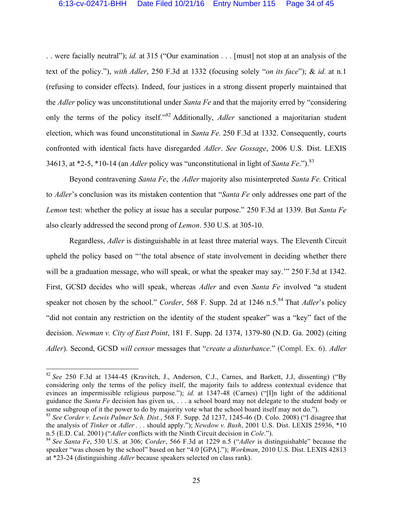. . were facially neutral"); *id.* at 315 ("Our examination . . . [must] not stop at an analysis of the text of the policy."), *with Adler*, 250 F.3d at 1332 (focusing solely "*on its face*"); & *id.* at n.1 (refusing to consider effects). Indeed, four justices in a strong dissent properly maintained that the *Adler* policy was unconstitutional under *Santa Fe* and that the majority erred by "considering only the terms of the policy itself."<sup>82</sup> Additionally, *Adler* sanctioned a majoritarian student election, which was found unconstitutional in *Santa Fe.* 250 F.3d at 1332. Consequently, courts confronted with identical facts have disregarded *Adler*. *See Gossage*, 2006 U.S. Dist. LEXIS 34613, at \*2-5, \*10-14 (an *Adler* policy was "unconstitutional in light of *Santa Fe*.").<sup>83</sup>

Beyond contravening *Santa Fe*, the *Adler* majority also misinterpreted *Santa Fe.* Critical to *Adler*'s conclusion was its mistaken contention that "*Santa Fe* only addresses one part of the *Lemon* test: whether the policy at issue has a secular purpose." 250 F.3d at 1339. But *Santa Fe* also clearly addressed the second prong of *Lemon*. 530 U.S. at 305-10.

Regardless, *Adler* is distinguishable in at least three material ways. The Eleventh Circuit upheld the policy based on "'the total absence of state involvement in deciding whether there will be a graduation message, who will speak, or what the speaker may say."" 250 F.3d at 1342. First, GCSD decides who will speak, whereas *Adler* and even *Santa Fe* involved "a student speaker not chosen by the school." *Corder*, 568 F. Supp. 2d at 1246 n.5.<sup>84</sup> That *Adler*'s policy "did not contain any restriction on the identity of the student speaker" was a "key" fact of the decision. *Newman v. City of East Point*, 181 F. Supp. 2d 1374, 1379-80 (N.D. Ga. 2002) (citing *Adler*). Second, GCSD *will censor* messages that "*create a disturbance*." (Compl. Ex. 6). *Adler* 

 <sup>82</sup> *See* 250 F.3d at 1344-45 (Kravitch, J., Anderson, C.J., Carnes, and Barkett, J.J, dissenting) ("By considering only the terms of the policy itself, the majority fails to address contextual evidence that evinces an impermissible religious purpose."); *id.* at 1347-48 (Carnes) ("[I]n light of the additional guidance the *Santa Fe* decision has given us, . . . a school board may not delegate to the student body or some subgroup of it the power to do by majority vote what the school board itself may not do.").

<sup>83</sup> *See Corder v. Lewis Palmer Sch. Dist.*, 568 F. Supp. 2d 1237, 1245-46 (D. Colo. 2008) ("I disagree that the analysis of *Tinker* or *Adler . . .* should apply."); *Newdow v. Bush*, 2001 U.S. Dist. LEXIS 25936, \*10 n.5 (E.D. Cal. 2001) ("*Adler* conflicts with the Ninth Circuit decision in *Cole*.").

<sup>84</sup> *See Santa Fe*, 530 U.S. at 306; *Corder*, 566 F.3d at 1229 n.5 ("*Adler* is distinguishable" because the speaker "was chosen by the school" based on her "4.0 [GPA]."); *Workman*, 2010 U.S. Dist. LEXIS 42813 at \*23-24 (distinguishing *Adler* because speakers selected on class rank).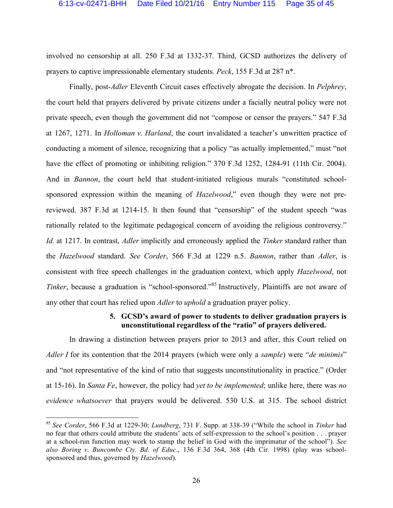involved no censorship at all. 250 F.3d at 1332-37. Third, GCSD authorizes the delivery of prayers to captive impressionable elementary students. *Peck*, 155 F.3d at 287 n\*.

Finally, post-*Adler* Eleventh Circuit cases effectively abrogate the decision. In *Pelphrey*, the court held that prayers delivered by private citizens under a facially neutral policy were not private speech, even though the government did not "compose or censor the prayers." 547 F.3d at 1267, 1271. In *Holloman v. Harland*, the court invalidated a teacher's unwritten practice of conducting a moment of silence, recognizing that a policy "as actually implemented," must "not have the effect of promoting or inhibiting religion." 370 F.3d 1252, 1284-91 (11th Cir. 2004). And in *Bannon*, the court held that student-initiated religious murals "constituted schoolsponsored expression within the meaning of *Hazelwood*," even though they were not prereviewed. 387 F.3d at 1214-15. It then found that "censorship" of the student speech "was rationally related to the legitimate pedagogical concern of avoiding the religious controversy." *Id.* at 1217. In contrast, *Adler* implicitly and erroneously applied the *Tinker* standard rather than the *Hazelwood* standard. *See Corder*, 566 F.3d at 1229 n.5. *Bannon*, rather than *Adler*, is consistent with free speech challenges in the graduation context, which apply *Hazelwood*, not *Tinker*, because a graduation is "school-sponsored."<sup>85</sup> Instructively, Plaintiffs are not aware of any other that court has relied upon *Adler* to *uphold* a graduation prayer policy.

#### **5. GCSD's award of power to students to deliver graduation prayers is unconstitutional regardless of the "ratio" of prayers delivered.**

In drawing a distinction between prayers prior to 2013 and after, this Court relied on *Adler I* for its contention that the 2014 prayers (which were only a *sample*) were "*de minimis*" and "not representative of the kind of ratio that suggests unconstitutionality in practice." (Order at 15-16). In *Santa Fe*, however, the policy had *yet to be implemented*; unlike here, there was *no evidence whatsoever* that prayers would be delivered. 530 U.S. at 315. The school district

 <sup>85</sup> *See Corder*, 566 F.3d at 1229-30; *Lundberg*, 731 F. Supp. at 338-39 ("While the school in *Tinker* had no fear that others could attribute the students' acts of self-expression to the school's position . . . prayer at a school-run function may work to stamp the belief in God with the imprimatur of the school"). *See also Boring v. Buncombe Cty. Bd. of Educ*., 136 F.3d 364, 368 (4th Cir. 1998) (play was schoolsponsored and thus, governed by *Hazelwood*).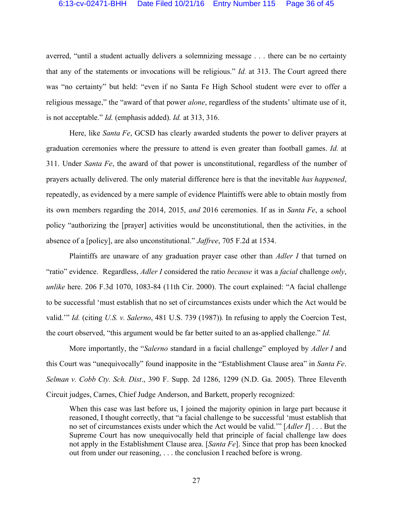averred, "until a student actually delivers a solemnizing message . . . there can be no certainty that any of the statements or invocations will be religious." *Id.* at 313. The Court agreed there was "no certainty" but held: "even if no Santa Fe High School student were ever to offer a religious message," the "award of that power *alone*, regardless of the students' ultimate use of it, is not acceptable." *Id.* (emphasis added). *Id.* at 313, 316.

Here, like *Santa Fe*, GCSD has clearly awarded students the power to deliver prayers at graduation ceremonies where the pressure to attend is even greater than football games. *Id.* at 311. Under *Santa Fe*, the award of that power is unconstitutional, regardless of the number of prayers actually delivered. The only material difference here is that the inevitable *has happened*, repeatedly, as evidenced by a mere sample of evidence Plaintiffs were able to obtain mostly from its own members regarding the 2014, 2015, *and* 2016 ceremonies. If as in *Santa Fe*, a school policy "authorizing the [prayer] activities would be unconstitutional, then the activities, in the absence of a [policy], are also unconstitutional." *Jaffree*, 705 F.2d at 1534.

Plaintiffs are unaware of any graduation prayer case other than *Adler I* that turned on "ratio" evidence. Regardless, *Adler I* considered the ratio *because* it was a *facial* challenge *only*, *unlike* here. 206 F.3d 1070, 1083-84 (11th Cir. 2000). The court explained: "A facial challenge to be successful 'must establish that no set of circumstances exists under which the Act would be valid.'" *Id.* (citing *U.S. v. Salerno*, 481 U.S. 739 (1987))*.* In refusing to apply the Coercion Test, the court observed, "this argument would be far better suited to an as-applied challenge." *Id.* 

More importantly, the "*Salerno* standard in a facial challenge" employed by *Adler I* and this Court was "unequivocally" found inapposite in the "Establishment Clause area" in *Santa Fe*. *Selman v. Cobb Cty. Sch. Dist*., 390 F. Supp. 2d 1286, 1299 (N.D. Ga. 2005). Three Eleventh Circuit judges, Carnes, Chief Judge Anderson, and Barkett, properly recognized:

When this case was last before us, I joined the majority opinion in large part because it reasoned, I thought correctly, that "a facial challenge to be successful 'must establish that no set of circumstances exists under which the Act would be valid.'" [*Adler I*] . . . But the Supreme Court has now unequivocally held that principle of facial challenge law does not apply in the Establishment Clause area. [*Santa Fe*]. Since that prop has been knocked out from under our reasoning, . . . the conclusion I reached before is wrong.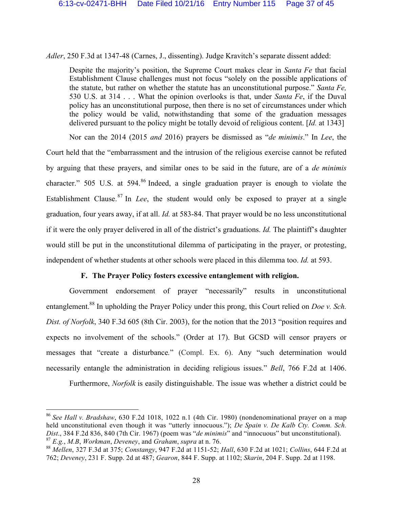*Adler*, 250 F.3d at 1347-48 (Carnes, J., dissenting). Judge Kravitch's separate dissent added:

Despite the majority's position, the Supreme Court makes clear in *Santa Fe* that facial Establishment Clause challenges must not focus "solely on the possible applications of the statute, but rather on whether the statute has an unconstitutional purpose." *Santa Fe,* 530 U.S. at 314 . . . What the opinion overlooks is that, under *Santa Fe*, if the Duval policy has an unconstitutional purpose, then there is no set of circumstances under which the policy would be valid, notwithstanding that some of the graduation messages delivered pursuant to the policy might be totally devoid of religious content. [*Id.* at 1343]

Nor can the 2014 (2015 *and* 2016) prayers be dismissed as "*de minimis*." In *Lee*, the Court held that the "embarrassment and the intrusion of the religious exercise cannot be refuted by arguing that these prayers, and similar ones to be said in the future, are of a *de minimis* character." 505 U.S. at 594.<sup>86</sup> Indeed, a single graduation prayer is enough to violate the Establishment Clause. <sup>87</sup> In *Lee*, the student would only be exposed to prayer at a single graduation, four years away, if at all. *Id.* at 583-84. That prayer would be no less unconstitutional if it were the only prayer delivered in all of the district's graduations. *Id.* The plaintiff's daughter would still be put in the unconstitutional dilemma of participating in the prayer, or protesting, independent of whether students at other schools were placed in this dilemma too. *Id.* at 593.

### **F. The Prayer Policy fosters excessive entanglement with religion.**

Government endorsement of prayer "necessarily" results in unconstitutional entanglement.<sup>88</sup> In upholding the Prayer Policy under this prong, this Court relied on *Doe v. Sch. Dist. of Norfolk*, 340 F.3d 605 (8th Cir. 2003), for the notion that the 2013 "position requires and expects no involvement of the schools." (Order at 17). But GCSD will censor prayers or messages that "create a disturbance*.*" (Compl. Ex. 6). Any "such determination would necessarily entangle the administration in deciding religious issues." *Bell*, 766 F.2d at 1406.

Furthermore, *Norfolk* is easily distinguishable. The issue was whether a district could be

 <sup>86</sup> *See Hall v. Bradshaw*, 630 F.2d 1018, 1022 n.1 (4th Cir. 1980) (nondenominational prayer on a map held unconstitutional even though it was "utterly innocuous."); *De Spain v. De Kalb Cty. Comm. Sch. Dist.*, 384 F.2d 836, 840 (7th Cir. 1967) (poem was "*de minimis*" and "innocuous" but unconstitutional).<br><sup>87</sup> *E.g., M.B. Workman, Deveney, and Graham, supra at n. 76.* 

<sup>&</sup>lt;sup>88</sup> Mellen, 327 F.3d at 375; Constangy, 947 F.2d at 1151-52; Hall, 630 F.2d at 1021; Collins, 644 F.2d at 762; *Deveney*, 231 F. Supp. 2d at 487; *Gearon*, 844 F. Supp. at 1102; *Skarin*, 204 F. Supp. 2d at 1198.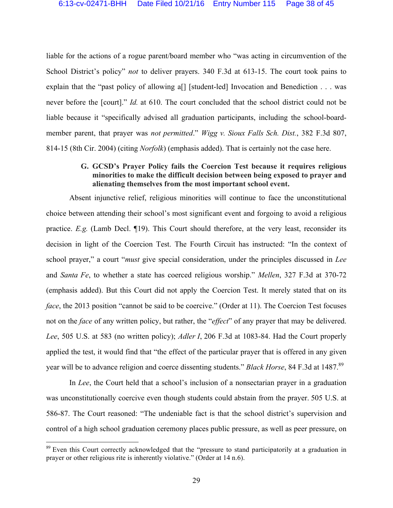liable for the actions of a rogue parent/board member who "was acting in circumvention of the School District's policy" *not* to deliver prayers. 340 F.3d at 613-15. The court took pains to explain that the "past policy of allowing a<sup>[]</sup> [student-led] Invocation and Benediction . . . was never before the [court]." *Id.* at 610. The court concluded that the school district could not be liable because it "specifically advised all graduation participants, including the school-boardmember parent, that prayer was *not permitted*." *Wigg v. Sioux Falls Sch. Dist.*, 382 F.3d 807, 814-15 (8th Cir. 2004) (citing *Norfolk*) (emphasis added). That is certainly not the case here.

### **G. GCSD's Prayer Policy fails the Coercion Test because it requires religious minorities to make the difficult decision between being exposed to prayer and alienating themselves from the most important school event.**

Absent injunctive relief, religious minorities will continue to face the unconstitutional choice between attending their school's most significant event and forgoing to avoid a religious practice. *E.g.* (Lamb Decl. ¶19). This Court should therefore, at the very least, reconsider its decision in light of the Coercion Test. The Fourth Circuit has instructed: "In the context of school prayer," a court "*must* give special consideration, under the principles discussed in *Lee* and *Santa Fe*, to whether a state has coerced religious worship." *Mellen*, 327 F.3d at 370-72 (emphasis added). But this Court did not apply the Coercion Test. It merely stated that on its *face*, the 2013 position "cannot be said to be coercive." (Order at 11). The Coercion Test focuses not on the *face* of any written policy, but rather, the "*effect*" of any prayer that may be delivered. *Lee*, 505 U.S. at 583 (no written policy); *Adler I*, 206 F.3d at 1083-84. Had the Court properly applied the test, it would find that "the effect of the particular prayer that is offered in any given year will be to advance religion and coerce dissenting students." *Black Horse*, 84 F.3d at 1487.89

In *Lee*, the Court held that a school's inclusion of a nonsectarian prayer in a graduation was unconstitutionally coercive even though students could abstain from the prayer. 505 U.S. at 586-87. The Court reasoned: "The undeniable fact is that the school district's supervision and control of a high school graduation ceremony places public pressure, as well as peer pressure, on

<sup>&</sup>lt;sup>89</sup> Even this Court correctly acknowledged that the "pressure to stand participatorily at a graduation in prayer or other religious rite is inherently violative." (Order at 14 n.6).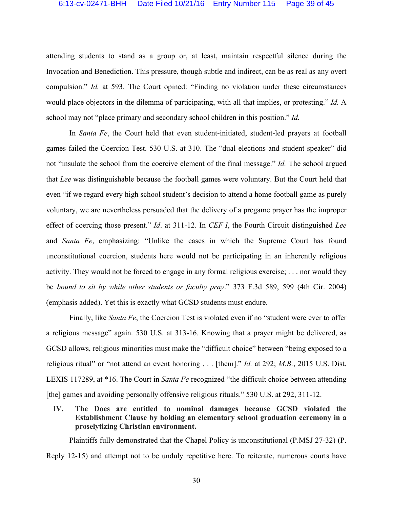attending students to stand as a group or, at least, maintain respectful silence during the Invocation and Benediction. This pressure, though subtle and indirect, can be as real as any overt compulsion." *Id.* at 593. The Court opined: "Finding no violation under these circumstances would place objectors in the dilemma of participating, with all that implies, or protesting." *Id.* A school may not "place primary and secondary school children in this position." *Id.* 

In *Santa Fe*, the Court held that even student-initiated, student-led prayers at football games failed the Coercion Test. 530 U.S. at 310. The "dual elections and student speaker" did not "insulate the school from the coercive element of the final message." *Id.* The school argued that *Lee* was distinguishable because the football games were voluntary. But the Court held that even "if we regard every high school student's decision to attend a home football game as purely voluntary, we are nevertheless persuaded that the delivery of a pregame prayer has the improper effect of coercing those present." *Id*. at 311-12. In *CEF I*, the Fourth Circuit distinguished *Lee*  and *Santa Fe*, emphasizing: "Unlike the cases in which the Supreme Court has found unconstitutional coercion, students here would not be participating in an inherently religious activity. They would not be forced to engage in any formal religious exercise; . . . nor would they be *bound to sit by while other students or faculty pray*." 373 F.3d 589, 599 (4th Cir. 2004) (emphasis added). Yet this is exactly what GCSD students must endure.

Finally, like *Santa Fe*, the Coercion Test is violated even if no "student were ever to offer a religious message" again. 530 U.S. at 313-16. Knowing that a prayer might be delivered, as GCSD allows, religious minorities must make the "difficult choice" between "being exposed to a religious ritual" or "not attend an event honoring . . . [them]." *Id.* at 292; *M.B.*, 2015 U.S. Dist. LEXIS 117289, at \*16. The Court in *Santa Fe* recognized "the difficult choice between attending [the] games and avoiding personally offensive religious rituals." 530 U.S. at 292, 311-12.

**IV. The Does are entitled to nominal damages because GCSD violated the Establishment Clause by holding an elementary school graduation ceremony in a proselytizing Christian environment.** 

Plaintiffs fully demonstrated that the Chapel Policy is unconstitutional (P.MSJ 27-32) (P. Reply 12-15) and attempt not to be unduly repetitive here. To reiterate, numerous courts have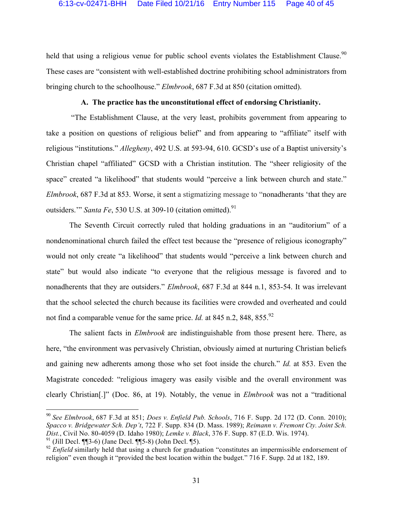held that using a religious venue for public school events violates the Establishment Clause.<sup>90</sup> These cases are "consistent with well-established doctrine prohibiting school administrators from bringing church to the schoolhouse." *Elmbrook*, 687 F.3d at 850 (citation omitted).

### **A. The practice has the unconstitutional effect of endorsing Christianity.**

"The Establishment Clause, at the very least, prohibits government from appearing to take a position on questions of religious belief" and from appearing to "affiliate" itself with religious "institutions." *Allegheny*, 492 U.S. at 593-94, 610. GCSD's use of a Baptist university's Christian chapel "affiliated" GCSD with a Christian institution. The "sheer religiosity of the space" created "a likelihood" that students would "perceive a link between church and state." *Elmbrook*, 687 F.3d at 853. Worse, it sent a stigmatizing message to "nonadherants 'that they are outsiders." *Santa Fe*, 530 U.S. at 309-10 (citation omitted).<sup>91</sup>

The Seventh Circuit correctly ruled that holding graduations in an "auditorium" of a nondenominational church failed the effect test because the "presence of religious iconography" would not only create "a likelihood" that students would "perceive a link between church and state" but would also indicate "to everyone that the religious message is favored and to nonadherents that they are outsiders." *Elmbrook*, 687 F.3d at 844 n.1, 853-54. It was irrelevant that the school selected the church because its facilities were crowded and overheated and could not find a comparable venue for the same price. *Id.* at 845 n.2, 848, 855.<sup>92</sup>

The salient facts in *Elmbrook* are indistinguishable from those present here. There, as here, "the environment was pervasively Christian, obviously aimed at nurturing Christian beliefs and gaining new adherents among those who set foot inside the church." *Id.* at 853. Even the Magistrate conceded: "religious imagery was easily visible and the overall environment was clearly Christian[.]" (Doc. 86, at 19). Notably, the venue in *Elmbrook* was not a "traditional

 <sup>90</sup> *See Elmbrook*, 687 F.3d at 851; *Does v. Enfield Pub. Schools*, 716 F. Supp. 2d 172 (D. Conn. 2010); *Spacco v. Bridgewater Sch. Dep't*, 722 F. Supp. 834 (D. Mass. 1989); *Reimann v. Fremont Cty. Joint Sch. Dist.*, Civil No. 80-4059 (D. Idaho 1980); *Lemke v. Black*, 376 F. Supp. 87 (E.D. Wis. 1974).  $91$  (Jill Decl. ¶¶3-6) (Jane Decl. ¶¶5-8) (John Decl. ¶5).

<sup>&</sup>lt;sup>92</sup> *Enfield* similarly held that using a church for graduation "constitutes an impermissible endorsement of religion" even though it "provided the best location within the budget." 716 F. Supp. 2d at 182, 189.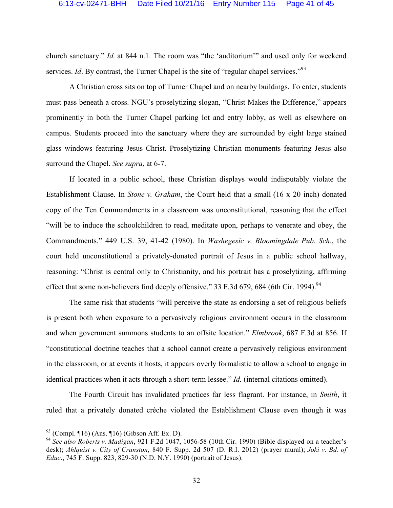church sanctuary." *Id.* at 844 n.1. The room was "the 'auditorium'" and used only for weekend services. *Id*. By contrast, the Turner Chapel is the site of "regular chapel services."<sup>93</sup>

A Christian cross sits on top of Turner Chapel and on nearby buildings. To enter, students must pass beneath a cross. NGU's proselytizing slogan, "Christ Makes the Difference," appears prominently in both the Turner Chapel parking lot and entry lobby, as well as elsewhere on campus. Students proceed into the sanctuary where they are surrounded by eight large stained glass windows featuring Jesus Christ. Proselytizing Christian monuments featuring Jesus also surround the Chapel. *See supra*, at 6-7.

If located in a public school, these Christian displays would indisputably violate the Establishment Clause. In *Stone v. Graham*, the Court held that a small (16 x 20 inch) donated copy of the Ten Commandments in a classroom was unconstitutional, reasoning that the effect "will be to induce the schoolchildren to read, meditate upon, perhaps to venerate and obey, the Commandments." 449 U.S. 39, 41-42 (1980). In *Washegesic v. Bloomingdale Pub. Sch*., the court held unconstitutional a privately-donated portrait of Jesus in a public school hallway, reasoning: "Christ is central only to Christianity, and his portrait has a proselytizing, affirming effect that some non-believers find deeply offensive." 33 F.3d 679, 684 (6th Cir. 1994).<sup>94</sup>

The same risk that students "will perceive the state as endorsing a set of religious beliefs is present both when exposure to a pervasively religious environment occurs in the classroom and when government summons students to an offsite location." *Elmbrook*, 687 F.3d at 856. If "constitutional doctrine teaches that a school cannot create a pervasively religious environment in the classroom, or at events it hosts, it appears overly formalistic to allow a school to engage in identical practices when it acts through a short-term lessee." *Id.* (internal citations omitted).

The Fourth Circuit has invalidated practices far less flagrant. For instance, in *Smith*, it ruled that a privately donated crèche violated the Establishment Clause even though it was

 $93$  (Compl. ¶16) (Ans. ¶16) (Gibson Aff. Ex. D).

<sup>94</sup> *See also Roberts v. Madigan*, 921 F.2d 1047, 1056-58 (10th Cir. 1990) (Bible displayed on a teacher's desk); *Ahlquist v. City of Cranston*, 840 F. Supp. 2d 507 (D. R.I. 2012) (prayer mural); *Joki v. Bd. of Educ*., 745 F. Supp. 823, 829-30 (N.D. N.Y. 1990) (portrait of Jesus).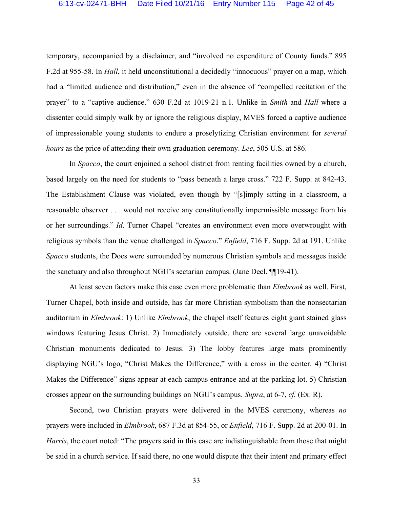temporary, accompanied by a disclaimer, and "involved no expenditure of County funds." 895 F.2d at 955-58. In *Hall*, it held unconstitutional a decidedly "innocuous" prayer on a map, which had a "limited audience and distribution," even in the absence of "compelled recitation of the prayer" to a "captive audience." 630 F.2d at 1019-21 n.1. Unlike in *Smith* and *Hall* where a dissenter could simply walk by or ignore the religious display, MVES forced a captive audience of impressionable young students to endure a proselytizing Christian environment for *several hours* as the price of attending their own graduation ceremony. *Lee*, 505 U.S. at 586.

In *Spacco*, the court enjoined a school district from renting facilities owned by a church, based largely on the need for students to "pass beneath a large cross." 722 F. Supp. at 842-43. The Establishment Clause was violated, even though by "[s]imply sitting in a classroom, a reasonable observer . . . would not receive any constitutionally impermissible message from his or her surroundings." *Id*. Turner Chapel "creates an environment even more overwrought with religious symbols than the venue challenged in *Spacco*." *Enfield*, 716 F. Supp. 2d at 191. Unlike *Spacco* students, the Does were surrounded by numerous Christian symbols and messages inside the sanctuary and also throughout NGU's sectarian campus. (Jane Decl. ¶¶19-41).

At least seven factors make this case even more problematic than *Elmbrook* as well. First, Turner Chapel, both inside and outside, has far more Christian symbolism than the nonsectarian auditorium in *Elmbrook*: 1) Unlike *Elmbrook*, the chapel itself features eight giant stained glass windows featuring Jesus Christ. 2) Immediately outside, there are several large unavoidable Christian monuments dedicated to Jesus. 3) The lobby features large mats prominently displaying NGU's logo, "Christ Makes the Difference," with a cross in the center. 4) "Christ Makes the Difference" signs appear at each campus entrance and at the parking lot. 5) Christian crosses appear on the surrounding buildings on NGU's campus. *Supra*, at 6-7, *cf.* (Ex. R).

Second, two Christian prayers were delivered in the MVES ceremony, whereas *no* prayers were included in *Elmbrook*, 687 F.3d at 854-55, or *Enfield*, 716 F. Supp. 2d at 200-01. In *Harris*, the court noted: "The prayers said in this case are indistinguishable from those that might be said in a church service. If said there, no one would dispute that their intent and primary effect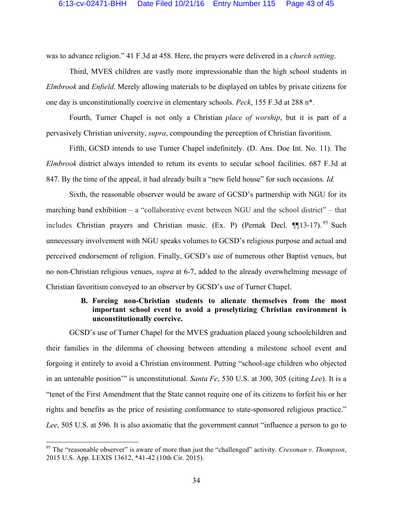was to advance religion." 41 F.3d at 458. Here, the prayers were delivered in a *church setting*.

Third, MVES children are vastly more impressionable than the high school students in *Elmbrook* and *Enfield*. Merely allowing materials to be displayed on tables by private citizens for one day is unconstitutionally coercive in elementary schools. *Peck*, 155 F.3d at 288 n\*.

Fourth, Turner Chapel is not only a Christian *place of worship*, but it is part of a pervasively Christian university, *supra*, compounding the perception of Christian favoritism.

Fifth, GCSD intends to use Turner Chapel indefinitely. (D. Ans. Doe Int. No. 11). The *Elmbrook* district always intended to return its events to secular school facilities. 687 F.3d at 847. By the time of the appeal, it had already built a "new field house" for such occasions. *Id.* 

Sixth, the reasonable observer would be aware of GCSD's partnership with NGU for its marching band exhibition – a "collaborative event between NGU and the school district" – that includes Christian prayers and Christian music. (Ex. P) (Pernak Decl. ¶[13-17).<sup>95</sup> Such unnecessary involvement with NGU speaks volumes to GCSD's religious purpose and actual and perceived endorsement of religion. Finally, GCSD's use of numerous other Baptist venues, but no non-Christian religious venues, *supra* at 6-7, added to the already overwhelming message of Christian favoritism conveyed to an observer by GCSD's use of Turner Chapel.

## **B. Forcing non-Christian students to alienate themselves from the most important school event to avoid a proselytizing Christian environment is unconstitutionally coercive.**

GCSD's use of Turner Chapel for the MVES graduation placed young schoolchildren and their families in the dilemma of choosing between attending a milestone school event and forgoing it entirely to avoid a Christian environment. Putting "school-age children who objected in an untenable position'" is unconstitutional. *Santa Fe*, 530 U.S. at 300, 305 (citing *Lee*). It is a "tenet of the First Amendment that the State cannot require one of its citizens to forfeit his or her rights and benefits as the price of resisting conformance to state-sponsored religious practice." *Lee*, 505 U.S. at 596. It is also axiomatic that the government cannot "influence a person to go to

 <sup>95</sup> The "reasonable observer" is aware of more than just the "challenged" activity. *Cressman v. Thompson*, 2015 U.S. App. LEXIS 13612, \*41-42 (10th Cir. 2015).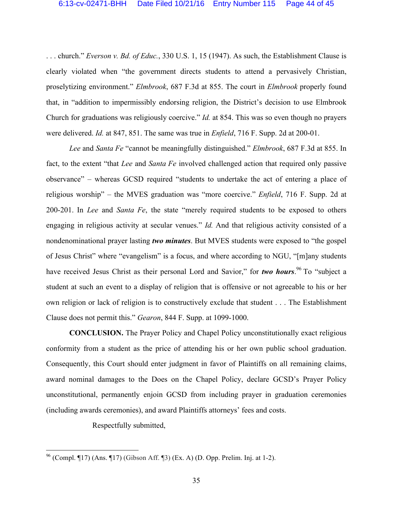. . . church." *Everson v. Bd. of Educ.*, 330 U.S. 1, 15 (1947). As such, the Establishment Clause is clearly violated when "the government directs students to attend a pervasively Christian, proselytizing environment." *Elmbrook*, 687 F.3d at 855. The court in *Elmbrook* properly found that, in "addition to impermissibly endorsing religion, the District's decision to use Elmbrook Church for graduations was religiously coercive." *Id.* at 854. This was so even though no prayers were delivered. *Id.* at 847, 851. The same was true in *Enfield*, 716 F. Supp. 2d at 200-01.

*Lee* and *Santa Fe* "cannot be meaningfully distinguished." *Elmbrook*, 687 F.3d at 855. In fact, to the extent "that *Lee* and *Santa Fe* involved challenged action that required only passive observance" – whereas GCSD required "students to undertake the act of entering a place of religious worship" – the MVES graduation was "more coercive." *Enfield*, 716 F. Supp. 2d at 200-201. In *Lee* and *Santa Fe*, the state "merely required students to be exposed to others engaging in religious activity at secular venues." *Id.* And that religious activity consisted of a nondenominational prayer lasting *two minutes*. But MVES students were exposed to "the gospel of Jesus Christ" where "evangelism" is a focus, and where according to NGU, "[m]any students have received Jesus Christ as their personal Lord and Savior," for *two hours*.<sup>96</sup> To "subject a student at such an event to a display of religion that is offensive or not agreeable to his or her own religion or lack of religion is to constructively exclude that student . . . The Establishment Clause does not permit this." *Gearon*, 844 F. Supp. at 1099-1000.

**CONCLUSION.** The Prayer Policy and Chapel Policy unconstitutionally exact religious conformity from a student as the price of attending his or her own public school graduation. Consequently, this Court should enter judgment in favor of Plaintiffs on all remaining claims, award nominal damages to the Does on the Chapel Policy, declare GCSD's Prayer Policy unconstitutional, permanently enjoin GCSD from including prayer in graduation ceremonies (including awards ceremonies), and award Plaintiffs attorneys' fees and costs.

Respectfully submitted,

 <sup>96</sup> (Compl. ¶17) (Ans. ¶17) (Gibson Aff. ¶3) (Ex. A) (D. Opp. Prelim. Inj. at 1-2).